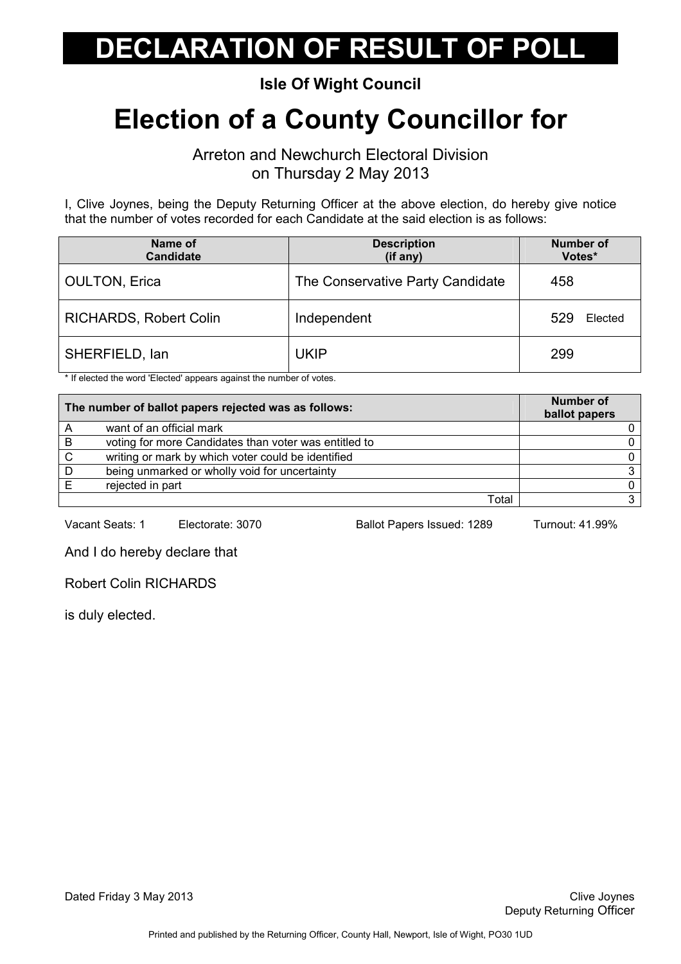#### Isle Of Wight Council

## Election of a County Councillor for

Arreton and Newchurch Electoral Division on Thursday 2 May 2013

I, Clive Joynes, being the Deputy Returning Officer at the above election, do hereby give notice that the number of votes recorded for each Candidate at the said election is as follows:

| Name of<br><b>Candidate</b>   | <b>Description</b><br>(if any)   | <b>Number of</b><br>Votes* |
|-------------------------------|----------------------------------|----------------------------|
| <b>OULTON, Erica</b>          | The Conservative Party Candidate | 458                        |
| <b>RICHARDS, Robert Colin</b> | Independent                      | 529<br>Elected             |
| SHERFIELD, lan                | UKIP                             | 299                        |

\* If elected the word 'Elected' appears against the number of votes.

| The number of ballot papers rejected was as follows: |                                                       | <b>Number of</b><br>ballot papers |
|------------------------------------------------------|-------------------------------------------------------|-----------------------------------|
|                                                      | want of an official mark                              |                                   |
| B                                                    | voting for more Candidates than voter was entitled to |                                   |
| C.                                                   | writing or mark by which voter could be identified    |                                   |
| D                                                    | being unmarked or wholly void for uncertainty         |                                   |
|                                                      | rejected in part                                      |                                   |
|                                                      | Total                                                 |                                   |

Vacant Seats: 1 Electorate: 3070 Ballot Papers Issued: 1289 Turnout: 41.99%

And I do hereby declare that

Robert Colin RICHARDS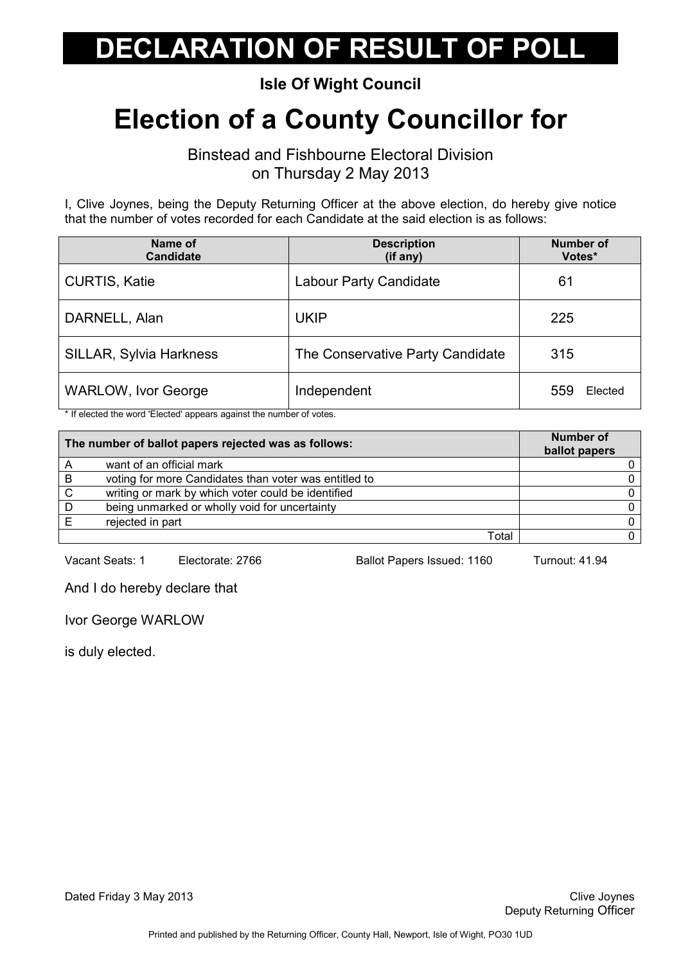#### Isle Of Wight Council

## Election of a County Councillor for

Binstead and Fishbourne Electoral Division on Thursday 2 May 2013

I, Clive Joynes, being the Deputy Returning Officer at the above election, do hereby give notice that the number of votes recorded for each Candidate at the said election is as follows:

| Name of<br><b>Candidate</b>    | <b>Description</b><br>(if any)   | <b>Number of</b><br>Votes* |
|--------------------------------|----------------------------------|----------------------------|
| <b>CURTIS, Katie</b>           | <b>Labour Party Candidate</b>    | 61                         |
| DARNELL, Alan                  | <b>UKIP</b>                      | 225                        |
| <b>SILLAR, Sylvia Harkness</b> | The Conservative Party Candidate | 315                        |
| <b>WARLOW, Ivor George</b>     | Independent                      | Elected<br>559             |

\* If elected the word 'Elected' appears against the number of votes.

| The number of ballot papers rejected was as follows: |                                                       | Number of<br>ballot papers |
|------------------------------------------------------|-------------------------------------------------------|----------------------------|
|                                                      | want of an official mark                              |                            |
| B                                                    | voting for more Candidates than voter was entitled to |                            |
| $\mathsf{C}$                                         | writing or mark by which voter could be identified    |                            |
| D                                                    | being unmarked or wholly void for uncertainty         |                            |
|                                                      | rejected in part                                      |                            |
|                                                      | Total                                                 |                            |

Vacant Seats: 1 Electorate: 2766 Ballot Papers Issued: 1160 Turnout: 41.94

And I do hereby declare that

Ivor George WARLOW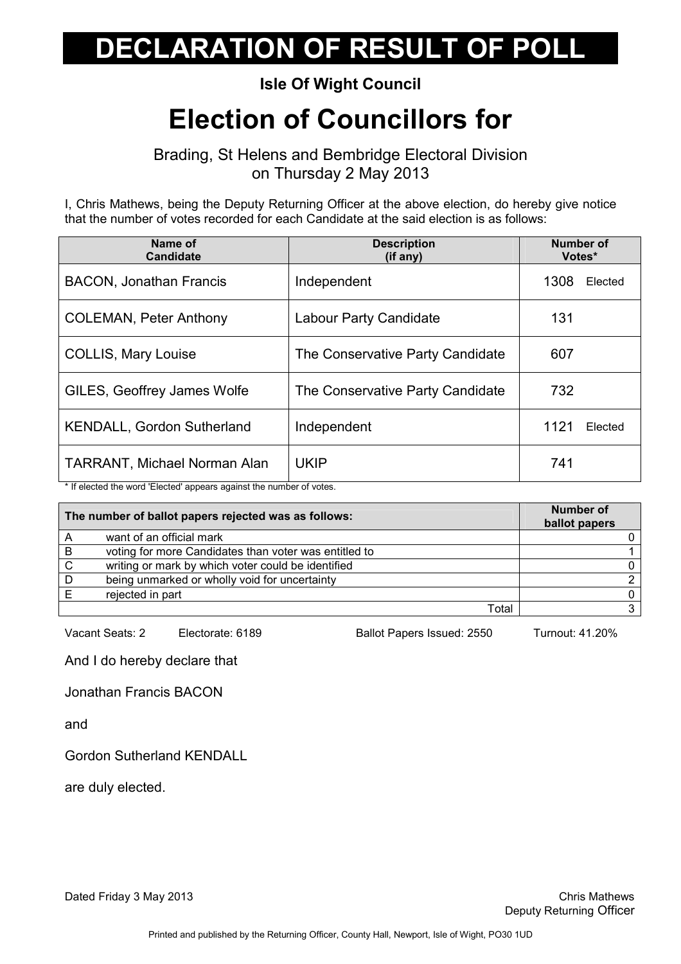#### Isle Of Wight Council

## Election of Councillors for

Brading, St Helens and Bembridge Electoral Division on Thursday 2 May 2013

I, Chris Mathews, being the Deputy Returning Officer at the above election, do hereby give notice that the number of votes recorded for each Candidate at the said election is as follows:

| Name of<br><b>Candidate</b>         | <b>Description</b><br>$(if$ any) | Number of<br>Votes* |         |
|-------------------------------------|----------------------------------|---------------------|---------|
| <b>BACON, Jonathan Francis</b>      | Independent                      | 1308                | Elected |
| <b>COLEMAN, Peter Anthony</b>       | <b>Labour Party Candidate</b>    | 131                 |         |
| <b>COLLIS, Mary Louise</b>          | The Conservative Party Candidate | 607                 |         |
| GILES, Geoffrey James Wolfe         | The Conservative Party Candidate | 732                 |         |
| <b>KENDALL, Gordon Sutherland</b>   | Independent                      | 1121                | Elected |
| <b>TARRANT, Michael Norman Alan</b> | <b>UKIP</b>                      | 741                 |         |

\* If elected the word 'Elected' appears against the number of votes.

| The number of ballot papers rejected was as follows: |                                                       | <b>Number of</b><br>ballot papers |
|------------------------------------------------------|-------------------------------------------------------|-----------------------------------|
|                                                      | want of an official mark                              |                                   |
| B                                                    | voting for more Candidates than voter was entitled to |                                   |
| C                                                    | writing or mark by which voter could be identified    |                                   |
| D                                                    | being unmarked or wholly void for uncertainty         |                                   |
|                                                      | rejected in part                                      |                                   |
|                                                      | Total                                                 |                                   |

Vacant Seats: 2 Electorate: 6189 Ballot Papers Issued: 2550 Turnout: 41.20%

And I do hereby declare that

Jonathan Francis BACON

and

Gordon Sutherland KENDALL

are duly elected.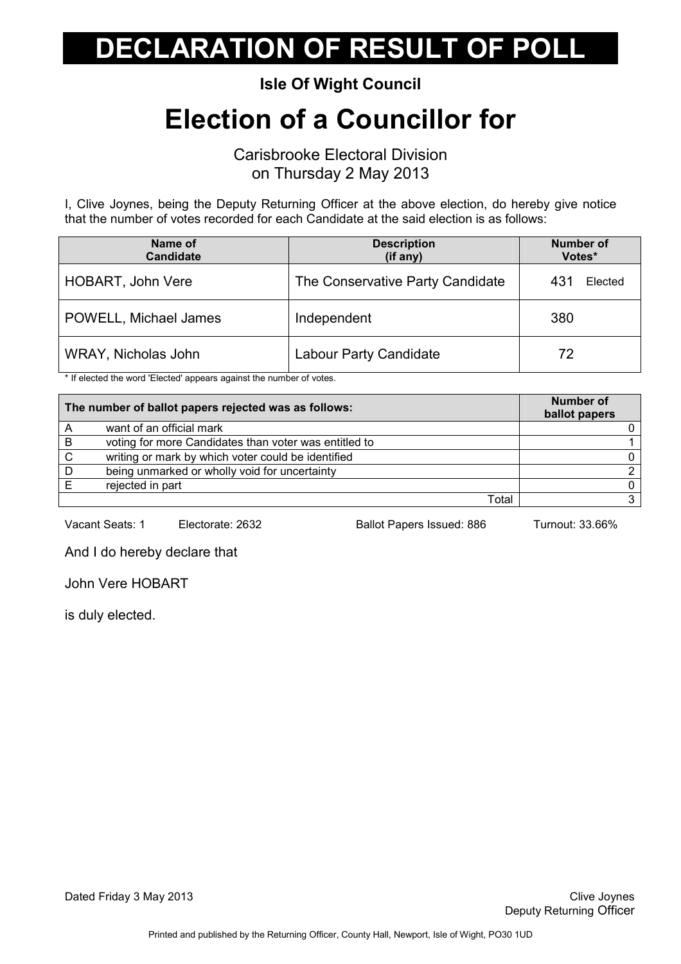Isle Of Wight Council

## Election of a Councillor for

Carisbrooke Electoral Division on Thursday 2 May 2013

I, Clive Joynes, being the Deputy Returning Officer at the above election, do hereby give notice that the number of votes recorded for each Candidate at the said election is as follows:

| Name of<br><b>Candidate</b> | <b>Description</b><br>(if any)   | <b>Number of</b><br>Votes* |
|-----------------------------|----------------------------------|----------------------------|
| <b>HOBART, John Vere</b>    | The Conservative Party Candidate | 431<br>Elected             |
| POWELL, Michael James       | Independent                      | 380                        |
| WRAY, Nicholas John         | Labour Party Candidate           | 72                         |

\* If elected the word 'Elected' appears against the number of votes.

| The number of ballot papers rejected was as follows: |                                                       | <b>Number of</b><br>ballot papers |
|------------------------------------------------------|-------------------------------------------------------|-----------------------------------|
|                                                      | want of an official mark                              |                                   |
| B                                                    | voting for more Candidates than voter was entitled to |                                   |
| C.                                                   | writing or mark by which voter could be identified    |                                   |
| D                                                    | being unmarked or wholly void for uncertainty         |                                   |
|                                                      | rejected in part                                      |                                   |
|                                                      | Total                                                 |                                   |

Vacant Seats: 1 Electorate: 2632 Ballot Papers Issued: 886 Turnout: 33.66%

And I do hereby declare that

John Vere HOBART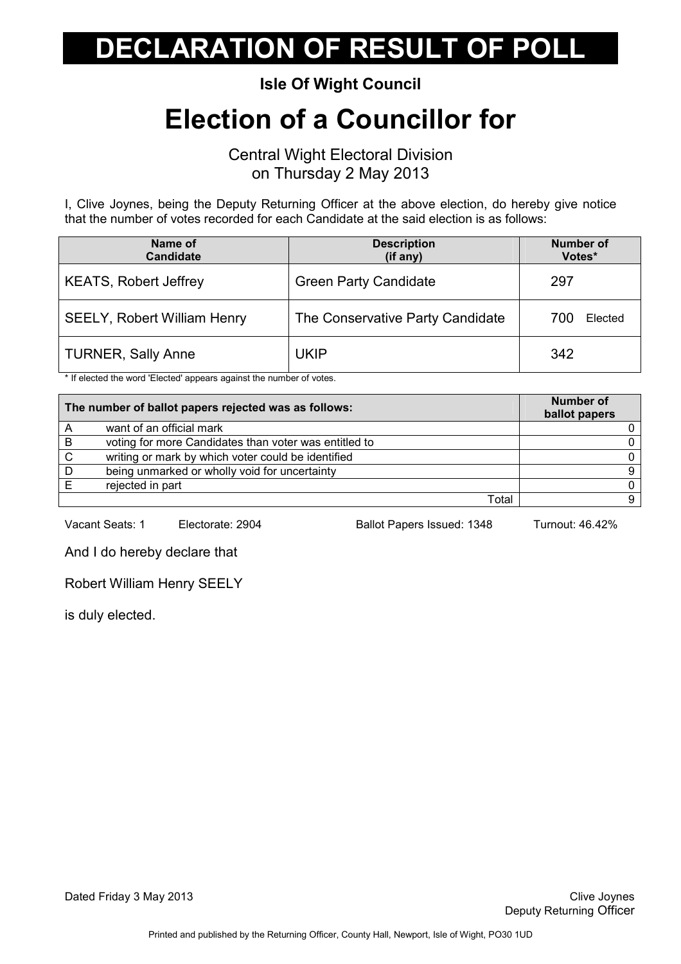Isle Of Wight Council

### Election of a Councillor for

Central Wight Electoral Division on Thursday 2 May 2013

I, Clive Joynes, being the Deputy Returning Officer at the above election, do hereby give notice that the number of votes recorded for each Candidate at the said election is as follows:

| Name of<br><b>Candidate</b>        | <b>Description</b><br>(if any)   | <b>Number of</b><br>Votes* |
|------------------------------------|----------------------------------|----------------------------|
| <b>KEATS, Robert Jeffrey</b>       | <b>Green Party Candidate</b>     | 297                        |
| <b>SEELY, Robert William Henry</b> | The Conservative Party Candidate | 700<br>Elected             |
| <b>TURNER, Sally Anne</b>          | <b>UKIP</b>                      | 342                        |

\* If elected the word 'Elected' appears against the number of votes.

| The number of ballot papers rejected was as follows: |                                                       | <b>Number of</b><br>ballot papers |
|------------------------------------------------------|-------------------------------------------------------|-----------------------------------|
| A                                                    | want of an official mark                              |                                   |
| B                                                    | voting for more Candidates than voter was entitled to |                                   |
| $\mathsf{C}$                                         | writing or mark by which voter could be identified    |                                   |
| D                                                    | being unmarked or wholly void for uncertainty         |                                   |
|                                                      | rejected in part                                      |                                   |
|                                                      | Total                                                 |                                   |

Vacant Seats: 1 Electorate: 2904 Ballot Papers Issued: 1348 Turnout: 46.42%

And I do hereby declare that

Robert William Henry SEELY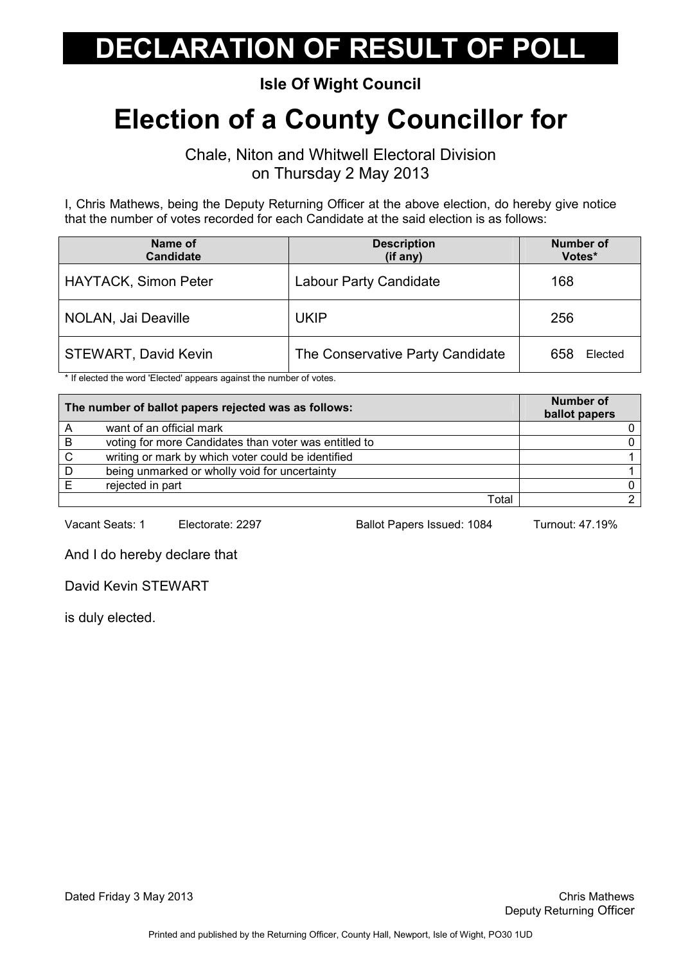#### Isle Of Wight Council

## Election of a County Councillor for

Chale, Niton and Whitwell Electoral Division on Thursday 2 May 2013

I, Chris Mathews, being the Deputy Returning Officer at the above election, do hereby give notice that the number of votes recorded for each Candidate at the said election is as follows:

| Name of<br><b>Candidate</b> | <b>Description</b><br>(if any)   | <b>Number of</b><br>Votes* |
|-----------------------------|----------------------------------|----------------------------|
| <b>HAYTACK, Simon Peter</b> | Labour Party Candidate           | 168                        |
| NOLAN, Jai Deaville         | <b>UKIP</b>                      | 256                        |
| <b>STEWART, David Kevin</b> | The Conservative Party Candidate | 658<br>Elected             |

\* If elected the word 'Elected' appears against the number of votes.

| The number of ballot papers rejected was as follows: |                                                       | <b>Number of</b><br>ballot papers |
|------------------------------------------------------|-------------------------------------------------------|-----------------------------------|
|                                                      | want of an official mark                              |                                   |
| B                                                    | voting for more Candidates than voter was entitled to |                                   |
| C.                                                   | writing or mark by which voter could be identified    |                                   |
| D                                                    | being unmarked or wholly void for uncertainty         |                                   |
|                                                      | rejected in part                                      |                                   |
|                                                      | Total                                                 |                                   |

Vacant Seats: 1 Electorate: 2297 Ballot Papers Issued: 1084 Turnout: 47.19%

And I do hereby declare that

David Kevin STEWART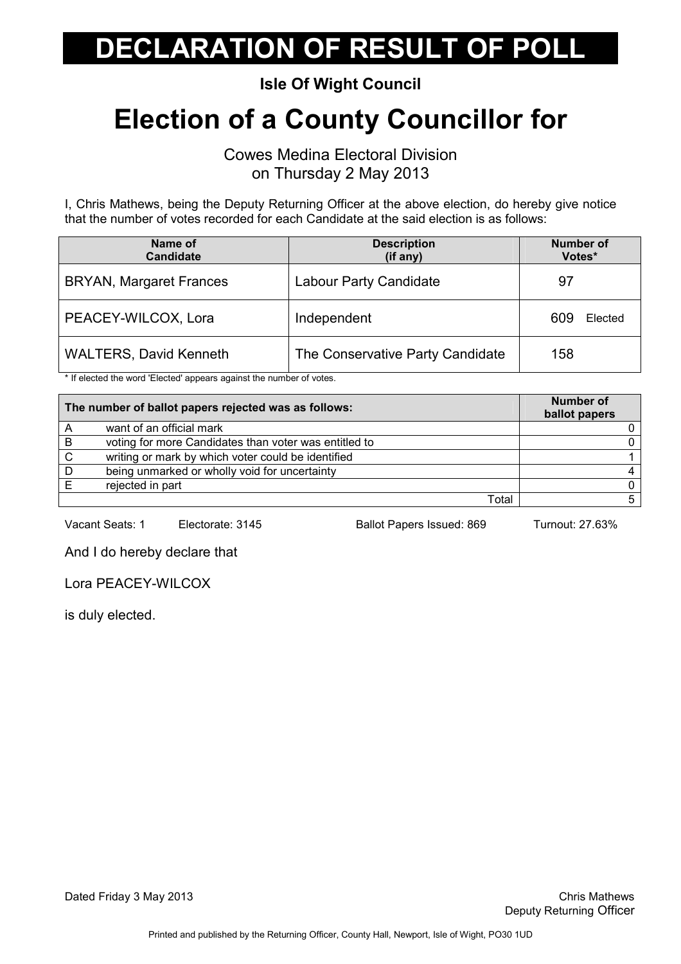Isle Of Wight Council

## Election of a County Councillor for

Cowes Medina Electoral Division on Thursday 2 May 2013

I, Chris Mathews, being the Deputy Returning Officer at the above election, do hereby give notice that the number of votes recorded for each Candidate at the said election is as follows:

| Name of<br><b>Candidate</b>    | <b>Description</b><br>(if any)   | <b>Number of</b><br>Votes* |
|--------------------------------|----------------------------------|----------------------------|
| <b>BRYAN, Margaret Frances</b> | Labour Party Candidate           | 97                         |
| PEACEY-WILCOX, Lora            | Independent                      | 609<br>Elected             |
| <b>WALTERS, David Kenneth</b>  | The Conservative Party Candidate | 158                        |

\* If elected the word 'Elected' appears against the number of votes.

|    | The number of ballot papers rejected was as follows:  | <b>Number of</b><br>ballot papers |
|----|-------------------------------------------------------|-----------------------------------|
|    | want of an official mark                              |                                   |
| B  | voting for more Candidates than voter was entitled to |                                   |
| C. | writing or mark by which voter could be identified    |                                   |
| D  | being unmarked or wholly void for uncertainty         |                                   |
|    | rejected in part                                      |                                   |
|    | Total                                                 |                                   |

Vacant Seats: 1 Electorate: 3145 Ballot Papers Issued: 869 Turnout: 27.63%

And I do hereby declare that

Lora PEACEY-WILCOX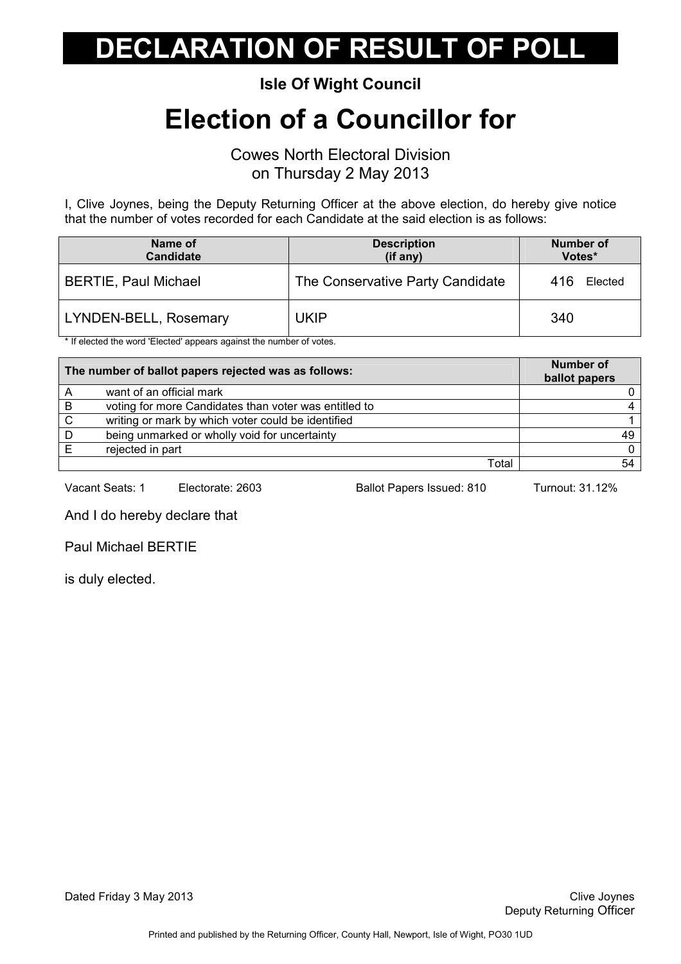Isle Of Wight Council

### Election of a Councillor for

Cowes North Electoral Division on Thursday 2 May 2013

I, Clive Joynes, being the Deputy Returning Officer at the above election, do hereby give notice that the number of votes recorded for each Candidate at the said election is as follows:

| Name of<br>Candidate        | <b>Description</b><br>$(if$ any) | <b>Number of</b><br>Votes* |
|-----------------------------|----------------------------------|----------------------------|
| <b>BERTIE, Paul Michael</b> | The Conservative Party Candidate | 416<br>Elected             |
| LYNDEN-BELL, Rosemary       | UKIP                             | 340                        |

\* If elected the word 'Elected' appears against the number of votes.

| The number of ballot papers rejected was as follows: |                                                       | <b>Number of</b><br>ballot papers |
|------------------------------------------------------|-------------------------------------------------------|-----------------------------------|
|                                                      | want of an official mark                              |                                   |
| B                                                    | voting for more Candidates than voter was entitled to |                                   |
| C.                                                   | writing or mark by which voter could be identified    |                                   |
| D                                                    | being unmarked or wholly void for uncertainty         | 49                                |
|                                                      | rejected in part                                      | 0.                                |
|                                                      | Total                                                 |                                   |

Vacant Seats: 1 Electorate: 2603 Ballot Papers Issued: 810 Turnout: 31.12%

And I do hereby declare that

Paul Michael BERTIE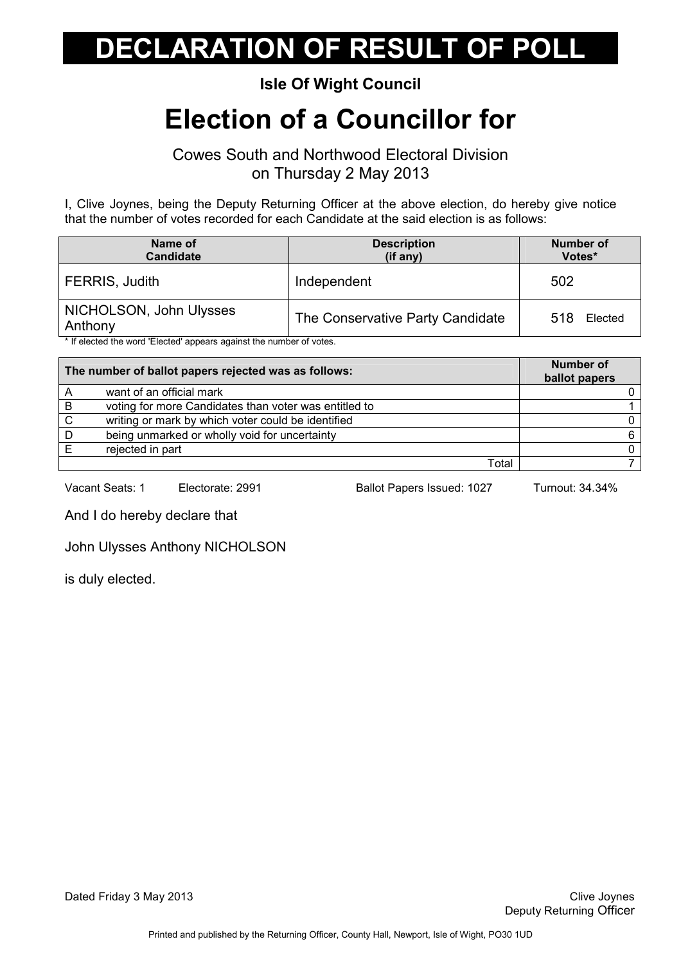#### Isle Of Wight Council

#### Election of a Councillor for

Cowes South and Northwood Electoral Division on Thursday 2 May 2013

I, Clive Joynes, being the Deputy Returning Officer at the above election, do hereby give notice that the number of votes recorded for each Candidate at the said election is as follows:

| Name of<br><b>Candidate</b>        | <b>Description</b><br>(if any)   | <b>Number of</b><br>Votes* |
|------------------------------------|----------------------------------|----------------------------|
| FERRIS, Judith                     | Independent                      | 502                        |
| NICHOLSON, John Ulysses<br>Anthony | The Conservative Party Candidate | 518<br>Elected             |

If elected the word 'Elected' appears against the number of votes.

| The number of ballot papers rejected was as follows: |                                                       | <b>Number of</b><br>ballot papers |
|------------------------------------------------------|-------------------------------------------------------|-----------------------------------|
|                                                      | want of an official mark                              |                                   |
| B                                                    | voting for more Candidates than voter was entitled to |                                   |
| C                                                    | writing or mark by which voter could be identified    |                                   |
| D                                                    | being unmarked or wholly void for uncertainty         |                                   |
|                                                      | rejected in part                                      |                                   |
|                                                      | Total                                                 |                                   |

Vacant Seats: 1 Electorate: 2991 Ballot Papers Issued: 1027 Turnout: 34.34%

And I do hereby declare that

John Ulysses Anthony NICHOLSON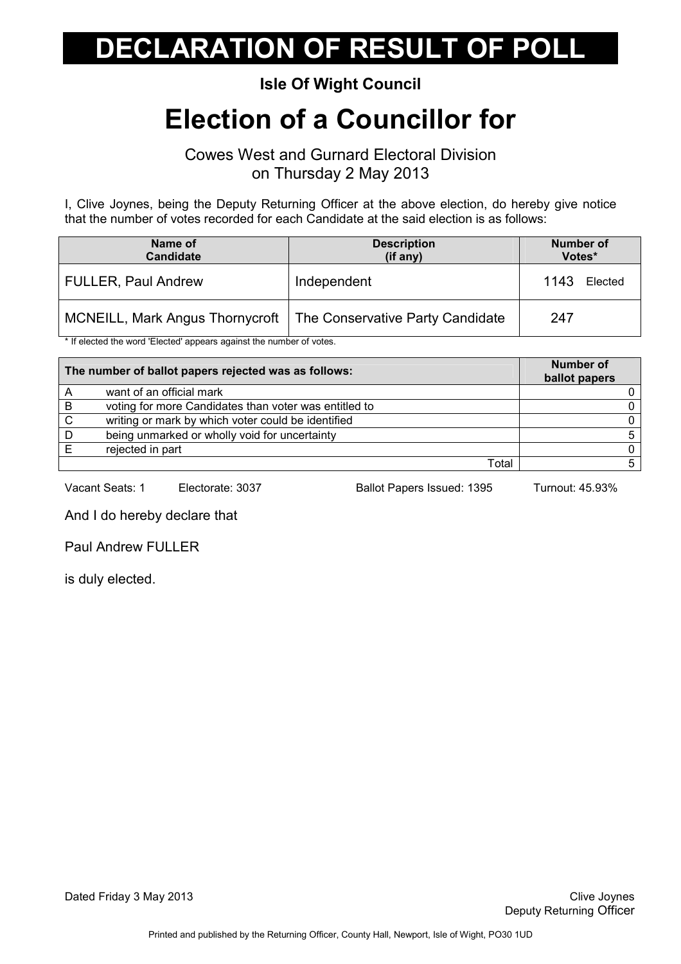#### Isle Of Wight Council

### Election of a Councillor for

Cowes West and Gurnard Electoral Division on Thursday 2 May 2013

I, Clive Joynes, being the Deputy Returning Officer at the above election, do hereby give notice that the number of votes recorded for each Candidate at the said election is as follows:

| Name of<br><b>Candidate</b>            | <b>Description</b><br>(if any)   | <b>Number of</b><br>Votes* |
|----------------------------------------|----------------------------------|----------------------------|
| <b>FULLER, Paul Andrew</b>             | Independent                      | 1143<br>Elected            |
| <b>MCNEILL, Mark Angus Thornycroft</b> | The Conservative Party Candidate | 247                        |

\* If elected the word 'Elected' appears against the number of votes.

| The number of ballot papers rejected was as follows: |                                                       | <b>Number of</b><br>ballot papers |
|------------------------------------------------------|-------------------------------------------------------|-----------------------------------|
|                                                      | want of an official mark                              |                                   |
| -B                                                   | voting for more Candidates than voter was entitled to |                                   |
| C.                                                   | writing or mark by which voter could be identified    |                                   |
| D                                                    | being unmarked or wholly void for uncertainty         | 5.                                |
|                                                      | rejected in part                                      | 0.                                |
|                                                      | Total                                                 |                                   |

Vacant Seats: 1 Electorate: 3037 Ballot Papers Issued: 1395 Turnout: 45.93%

And I do hereby declare that

Paul Andrew FULLER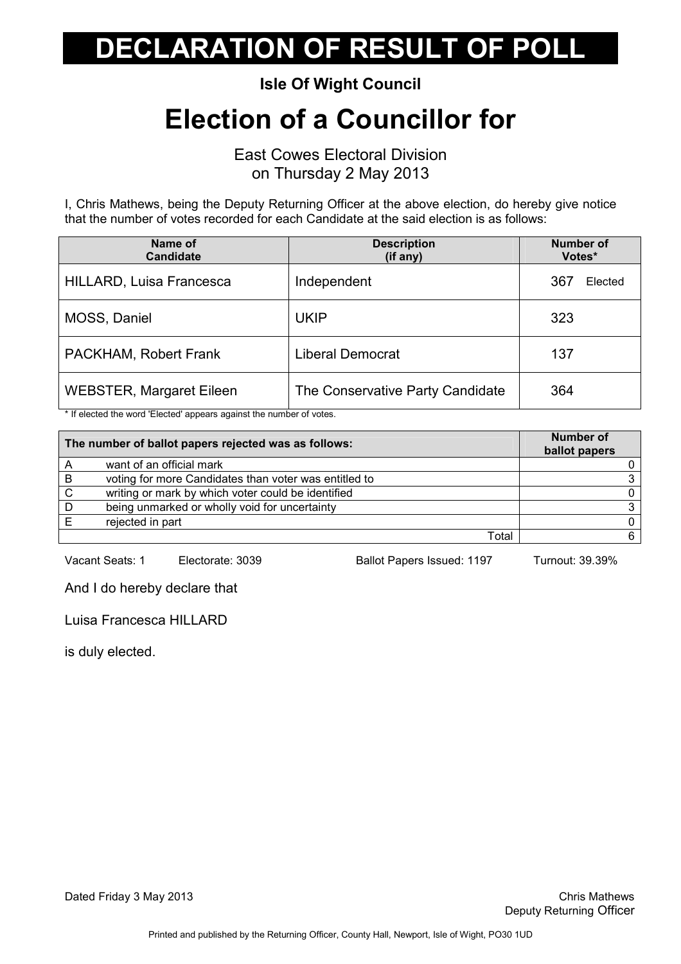Isle Of Wight Council

### Election of a Councillor for

East Cowes Electoral Division on Thursday 2 May 2013

I, Chris Mathews, being the Deputy Returning Officer at the above election, do hereby give notice that the number of votes recorded for each Candidate at the said election is as follows:

| Name of<br><b>Candidate</b>     | <b>Description</b><br>(if any)   | <b>Number of</b><br>Votes* |
|---------------------------------|----------------------------------|----------------------------|
| HILLARD, Luisa Francesca        | Independent                      | 367<br>Elected             |
| MOSS, Daniel                    | <b>UKIP</b>                      | 323                        |
| PACKHAM, Robert Frank           | <b>Liberal Democrat</b>          | 137                        |
| <b>WEBSTER, Margaret Eileen</b> | The Conservative Party Candidate | 364                        |

\* If elected the word 'Elected' appears against the number of votes.

|   | The number of ballot papers rejected was as follows:  | Number of<br>ballot papers |
|---|-------------------------------------------------------|----------------------------|
|   | want of an official mark                              |                            |
| B | voting for more Candidates than voter was entitled to |                            |
| C | writing or mark by which voter could be identified    |                            |
| D | being unmarked or wholly void for uncertainty         |                            |
|   | rejected in part                                      |                            |
|   | Total                                                 |                            |

Vacant Seats: 1 Electorate: 3039 Ballot Papers Issued: 1197 Turnout: 39.39%

And I do hereby declare that

Luisa Francesca HILLARD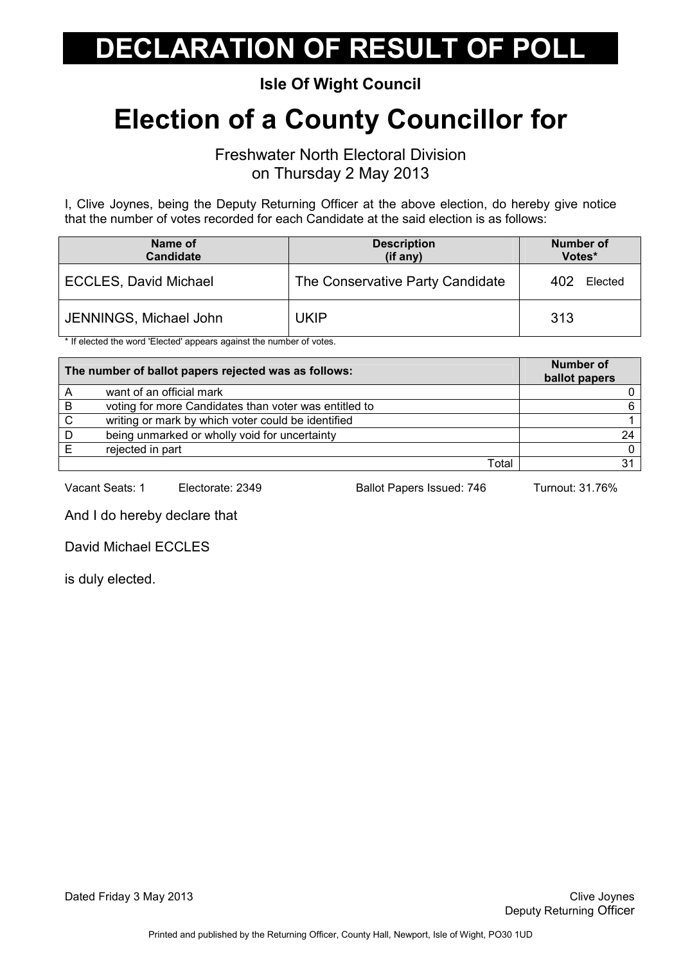Isle Of Wight Council

## Election of a County Councillor for

Freshwater North Electoral Division on Thursday 2 May 2013

I, Clive Joynes, being the Deputy Returning Officer at the above election, do hereby give notice that the number of votes recorded for each Candidate at the said election is as follows:

| Name of<br>Candidate         | <b>Description</b><br>$(if$ any) | Number of<br>Votes* |
|------------------------------|----------------------------------|---------------------|
| <b>ECCLES, David Michael</b> | The Conservative Party Candidate | Elected<br>402      |
| JENNINGS, Michael John       | UKIP                             | 313                 |

\* If elected the word 'Elected' appears against the number of votes.

| The number of ballot papers rejected was as follows: |                                                       | <b>Number of</b><br>ballot papers |
|------------------------------------------------------|-------------------------------------------------------|-----------------------------------|
|                                                      | want of an official mark                              |                                   |
| B                                                    | voting for more Candidates than voter was entitled to |                                   |
| C.                                                   | writing or mark by which voter could be identified    |                                   |
| D                                                    | being unmarked or wholly void for uncertainty         | 24                                |
|                                                      | rejected in part                                      |                                   |
|                                                      | Total                                                 |                                   |

Vacant Seats: 1 Electorate: 2349 Ballot Papers Issued: 746 Turnout: 31.76%

And I do hereby declare that

David Michael ECCLES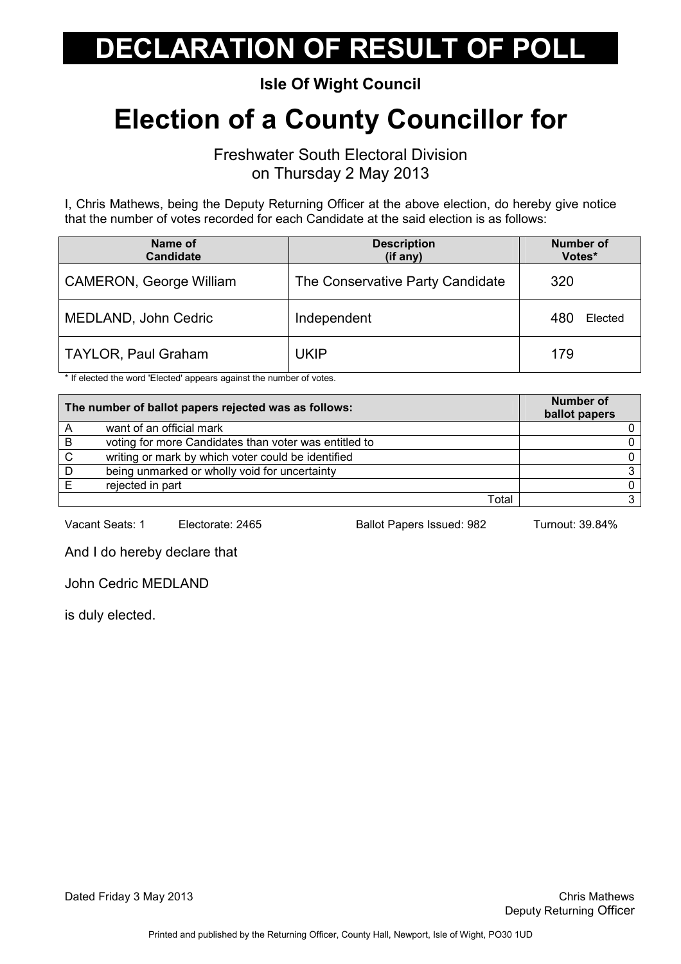Isle Of Wight Council

## Election of a County Councillor for

Freshwater South Electoral Division on Thursday 2 May 2013

I, Chris Mathews, being the Deputy Returning Officer at the above election, do hereby give notice that the number of votes recorded for each Candidate at the said election is as follows:

| Name of<br><b>Candidate</b>    | <b>Description</b><br>(if any)   | <b>Number of</b><br>Votes* |
|--------------------------------|----------------------------------|----------------------------|
| <b>CAMERON, George William</b> | The Conservative Party Candidate | 320                        |
| MEDLAND, John Cedric           | Independent                      | 480<br>Elected             |
| <b>TAYLOR, Paul Graham</b>     | UKIP                             | 179                        |

\* If elected the word 'Elected' appears against the number of votes.

|    | The number of ballot papers rejected was as follows:  | <b>Number of</b><br>ballot papers |
|----|-------------------------------------------------------|-----------------------------------|
|    | want of an official mark                              |                                   |
| B  | voting for more Candidates than voter was entitled to |                                   |
| C. | writing or mark by which voter could be identified    |                                   |
| D  | being unmarked or wholly void for uncertainty         |                                   |
|    | rejected in part                                      |                                   |
|    | Total                                                 |                                   |

Vacant Seats: 1 Electorate: 2465 Ballot Papers Issued: 982 Turnout: 39.84%

And I do hereby declare that

John Cedric MEDLAND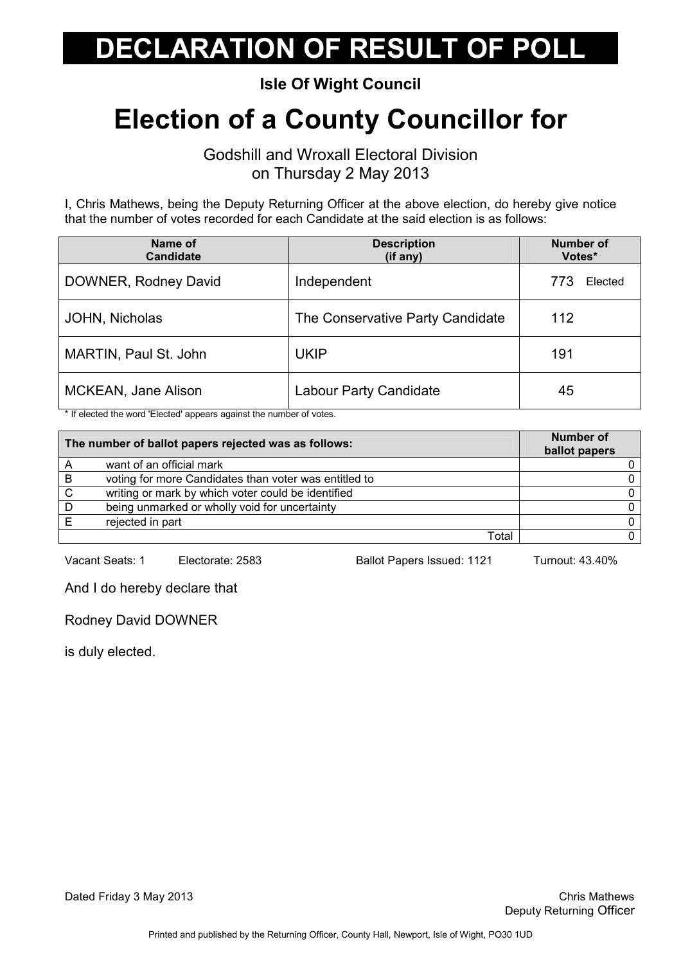Isle Of Wight Council

## Election of a County Councillor for

Godshill and Wroxall Electoral Division on Thursday 2 May 2013

I, Chris Mathews, being the Deputy Returning Officer at the above election, do hereby give notice that the number of votes recorded for each Candidate at the said election is as follows:

| Name of<br><b>Candidate</b> | <b>Description</b><br>(if any)   | <b>Number of</b><br>Votes* |
|-----------------------------|----------------------------------|----------------------------|
| DOWNER, Rodney David        | Independent                      | Elected<br>773             |
| JOHN, Nicholas              | The Conservative Party Candidate | 112                        |
| MARTIN, Paul St. John       | <b>UKIP</b>                      | 191                        |
| <b>MCKEAN, Jane Alison</b>  | <b>Labour Party Candidate</b>    | 45                         |

\* If elected the word 'Elected' appears against the number of votes.

|   | The number of ballot papers rejected was as follows:  | Number of<br>ballot papers |
|---|-------------------------------------------------------|----------------------------|
|   | want of an official mark                              |                            |
| B | voting for more Candidates than voter was entitled to |                            |
| C | writing or mark by which voter could be identified    |                            |
| D | being unmarked or wholly void for uncertainty         |                            |
|   | rejected in part                                      |                            |
|   | Total                                                 |                            |

Vacant Seats: 1 Electorate: 2583 Ballot Papers Issued: 1121 Turnout: 43.40%

And I do hereby declare that

Rodney David DOWNER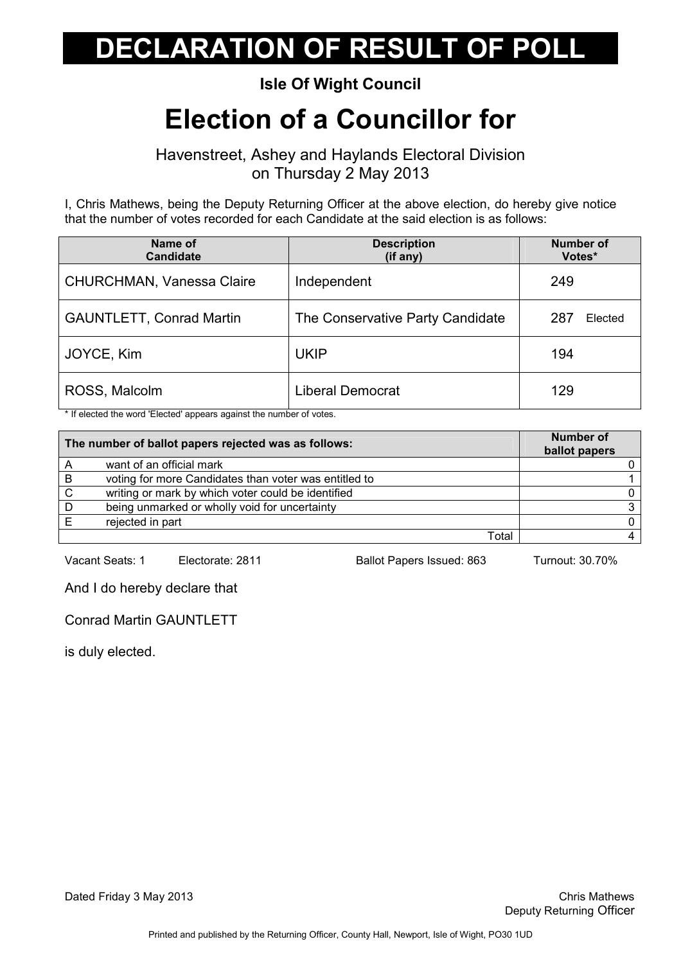#### Isle Of Wight Council

### Election of a Councillor for

Havenstreet, Ashey and Haylands Electoral Division on Thursday 2 May 2013

I, Chris Mathews, being the Deputy Returning Officer at the above election, do hereby give notice that the number of votes recorded for each Candidate at the said election is as follows:

| Name of<br><b>Candidate</b>     | <b>Description</b><br>(if any)   | <b>Number of</b><br>Votes* |
|---------------------------------|----------------------------------|----------------------------|
| CHURCHMAN, Vanessa Claire       | Independent                      | 249                        |
| <b>GAUNTLETT, Conrad Martin</b> | The Conservative Party Candidate | 287<br>Elected             |
| JOYCE, Kim                      | <b>UKIP</b>                      | 194                        |
| ROSS, Malcolm                   | <b>Liberal Democrat</b>          | 129                        |

\* If elected the word 'Elected' appears against the number of votes.

|    | The number of ballot papers rejected was as follows:  | Number of<br>ballot papers |
|----|-------------------------------------------------------|----------------------------|
|    | want of an official mark                              |                            |
| B  | voting for more Candidates than voter was entitled to |                            |
| C. | writing or mark by which voter could be identified    |                            |
| D  | being unmarked or wholly void for uncertainty         |                            |
|    | rejected in part                                      |                            |
|    | Total                                                 |                            |

Vacant Seats: 1 Electorate: 2811 Ballot Papers Issued: 863 Turnout: 30.70%

And I do hereby declare that

Conrad Martin GAUNTLETT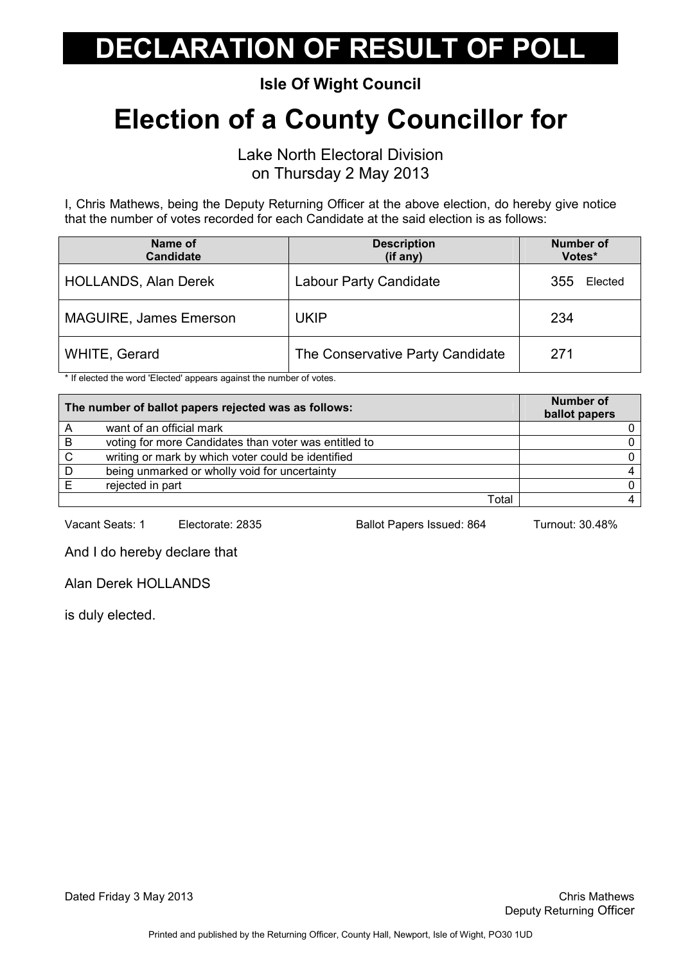Isle Of Wight Council

## Election of a County Councillor for

Lake North Electoral Division on Thursday 2 May 2013

I, Chris Mathews, being the Deputy Returning Officer at the above election, do hereby give notice that the number of votes recorded for each Candidate at the said election is as follows:

| Name of<br><b>Candidate</b>   | <b>Description</b><br>(if any)   | <b>Number of</b><br>Votes* |
|-------------------------------|----------------------------------|----------------------------|
| <b>HOLLANDS, Alan Derek</b>   | <b>Labour Party Candidate</b>    | Elected<br>355             |
| <b>MAGUIRE, James Emerson</b> | <b>UKIP</b>                      | 234                        |
| WHITE, Gerard                 | The Conservative Party Candidate | 271                        |

\* If elected the word 'Elected' appears against the number of votes.

|   | The number of ballot papers rejected was as follows:  | <b>Number of</b><br>ballot papers |
|---|-------------------------------------------------------|-----------------------------------|
|   | want of an official mark                              |                                   |
| B | voting for more Candidates than voter was entitled to |                                   |
| C | writing or mark by which voter could be identified    |                                   |
| D | being unmarked or wholly void for uncertainty         |                                   |
|   | rejected in part                                      |                                   |
|   | Total                                                 |                                   |

Vacant Seats: 1 Electorate: 2835 Ballot Papers Issued: 864 Turnout: 30.48%

And I do hereby declare that

Alan Derek HOLLANDS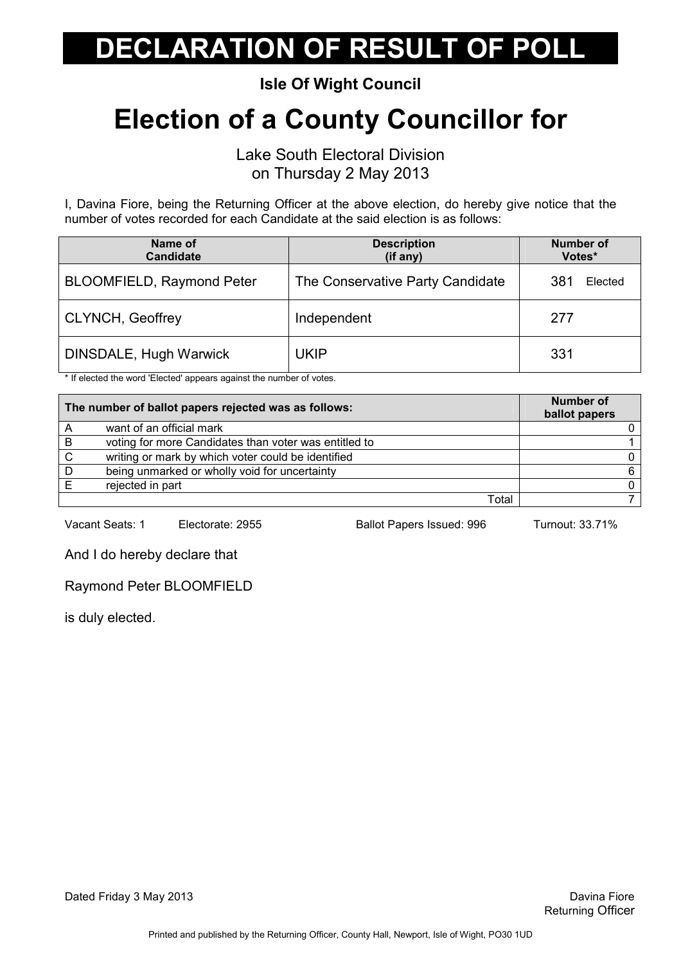Isle Of Wight Council

## Election of a County Councillor for

Lake South Electoral Division on Thursday 2 May 2013

I, Davina Fiore, being the Returning Officer at the above election, do hereby give notice that the number of votes recorded for each Candidate at the said election is as follows:

| Name of<br><b>Candidate</b>      | <b>Description</b><br>(if any)   | <b>Number of</b><br>Votes* |
|----------------------------------|----------------------------------|----------------------------|
| <b>BLOOMFIELD, Raymond Peter</b> | The Conservative Party Candidate | 381<br>Elected             |
| <b>CLYNCH, Geoffrey</b>          | Independent                      | 277                        |
| DINSDALE, Hugh Warwick           | UKIP                             | 331                        |

\* If elected the word 'Elected' appears against the number of votes.

| The number of ballot papers rejected was as follows: |                                                       | <b>Number of</b><br>ballot papers |
|------------------------------------------------------|-------------------------------------------------------|-----------------------------------|
|                                                      | want of an official mark                              |                                   |
| B                                                    | voting for more Candidates than voter was entitled to |                                   |
| C                                                    | writing or mark by which voter could be identified    |                                   |
| D                                                    | being unmarked or wholly void for uncertainty         |                                   |
|                                                      | rejected in part                                      |                                   |
|                                                      | Total                                                 |                                   |

Vacant Seats: 1 Electorate: 2955 Ballot Papers Issued: 996 Turnout: 33.71%

And I do hereby declare that

Raymond Peter BLOOMFIELD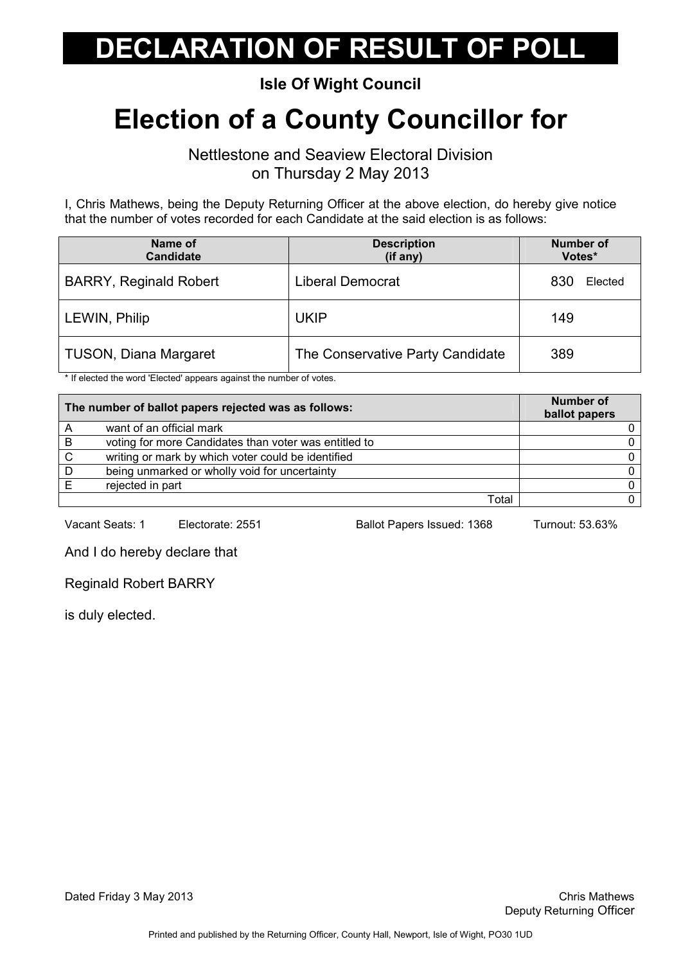#### Isle Of Wight Council

## Election of a County Councillor for

Nettlestone and Seaview Electoral Division on Thursday 2 May 2013

I, Chris Mathews, being the Deputy Returning Officer at the above election, do hereby give notice that the number of votes recorded for each Candidate at the said election is as follows:

| Name of<br><b>Candidate</b>   | <b>Description</b><br>(if any)   | <b>Number of</b><br>Votes* |
|-------------------------------|----------------------------------|----------------------------|
| <b>BARRY, Reginald Robert</b> | <b>Liberal Democrat</b>          | 830<br>Elected             |
| LEWIN, Philip                 | <b>UKIP</b>                      | 149                        |
| <b>TUSON, Diana Margaret</b>  | The Conservative Party Candidate | 389                        |

\* If elected the word 'Elected' appears against the number of votes.

|    | The number of ballot papers rejected was as follows:  | <b>Number of</b><br>ballot papers |
|----|-------------------------------------------------------|-----------------------------------|
|    | want of an official mark                              |                                   |
| B  | voting for more Candidates than voter was entitled to |                                   |
| C. | writing or mark by which voter could be identified    |                                   |
| D  | being unmarked or wholly void for uncertainty         |                                   |
|    | rejected in part                                      |                                   |
|    | Total                                                 |                                   |

Vacant Seats: 1 Electorate: 2551 Ballot Papers Issued: 1368 Turnout: 53.63%

And I do hereby declare that

Reginald Robert BARRY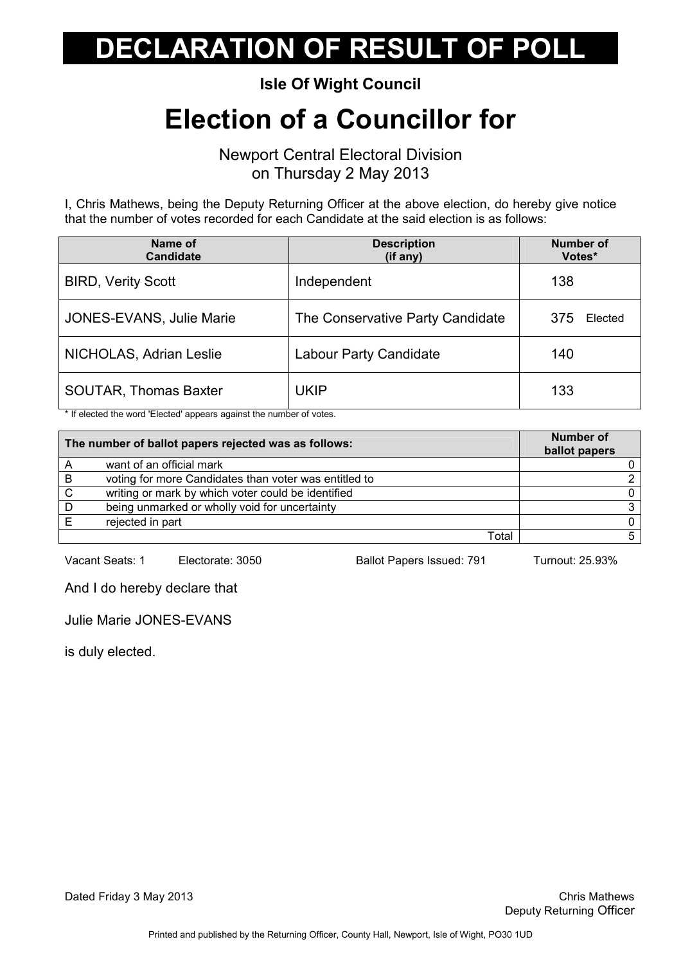Isle Of Wight Council

### Election of a Councillor for

Newport Central Electoral Division on Thursday 2 May 2013

I, Chris Mathews, being the Deputy Returning Officer at the above election, do hereby give notice that the number of votes recorded for each Candidate at the said election is as follows:

| Name of<br><b>Candidate</b>  | <b>Description</b><br>(if any)   | <b>Number of</b><br>Votes* |
|------------------------------|----------------------------------|----------------------------|
| <b>BIRD, Verity Scott</b>    | Independent                      | 138                        |
| JONES-EVANS, Julie Marie     | The Conservative Party Candidate | 375<br>Elected             |
| NICHOLAS, Adrian Leslie      | <b>Labour Party Candidate</b>    | 140                        |
| <b>SOUTAR, Thomas Baxter</b> | <b>UKIP</b>                      | 133                        |

\* If elected the word 'Elected' appears against the number of votes.

| The number of ballot papers rejected was as follows: |                                                       | <b>Number of</b><br>ballot papers |
|------------------------------------------------------|-------------------------------------------------------|-----------------------------------|
|                                                      | want of an official mark                              |                                   |
| B                                                    | voting for more Candidates than voter was entitled to |                                   |
| $\mathbf C$                                          | writing or mark by which voter could be identified    |                                   |
| D                                                    | being unmarked or wholly void for uncertainty         |                                   |
|                                                      | rejected in part                                      |                                   |
|                                                      | Total                                                 |                                   |

Vacant Seats: 1 Electorate: 3050 Ballot Papers Issued: 791 Turnout: 25.93%

And I do hereby declare that

Julie Marie JONES-EVANS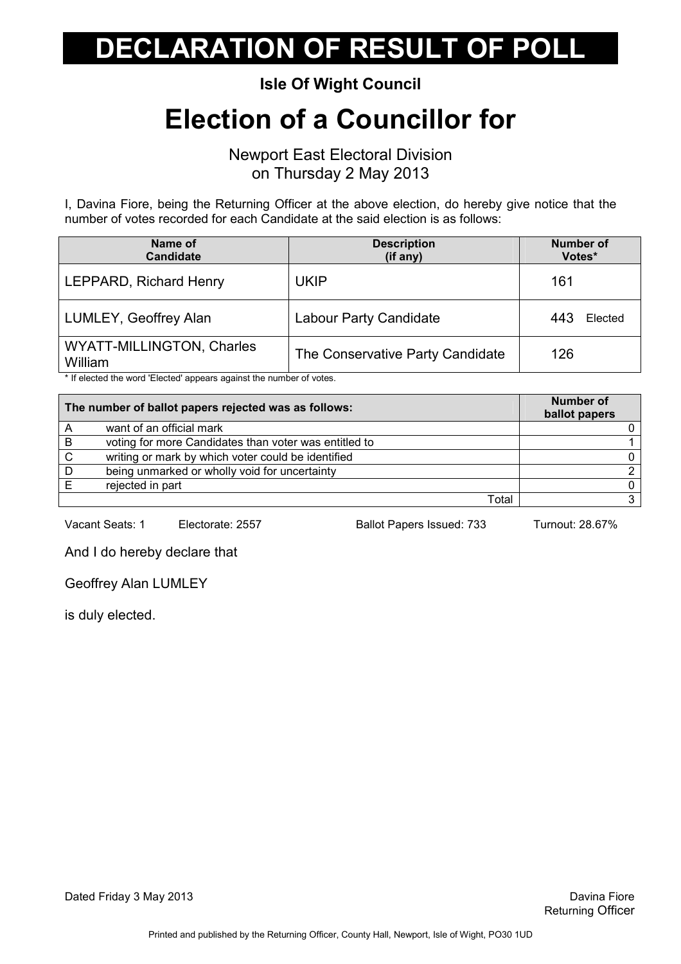Isle Of Wight Council

### Election of a Councillor for

Newport East Electoral Division on Thursday 2 May 2013

I, Davina Fiore, being the Returning Officer at the above election, do hereby give notice that the number of votes recorded for each Candidate at the said election is as follows:

| Name of<br><b>Candidate</b>          | <b>Description</b><br>(if any)   | <b>Number of</b><br>Votes* |
|--------------------------------------|----------------------------------|----------------------------|
| LEPPARD, Richard Henry               | UKIP                             | 161                        |
| LUMLEY, Geoffrey Alan                | <b>Labour Party Candidate</b>    | 443<br>Elected             |
| WYATT-MILLINGTON, Charles<br>William | The Conservative Party Candidate | 126                        |

\* If elected the word 'Elected' appears against the number of votes.

| The number of ballot papers rejected was as follows: |                                                       | <b>Number of</b><br>ballot papers |
|------------------------------------------------------|-------------------------------------------------------|-----------------------------------|
| A                                                    | want of an official mark                              |                                   |
| B                                                    | voting for more Candidates than voter was entitled to |                                   |
| C.                                                   | writing or mark by which voter could be identified    |                                   |
| D                                                    | being unmarked or wholly void for uncertainty         |                                   |
|                                                      | rejected in part                                      |                                   |
|                                                      | Total                                                 |                                   |

Vacant Seats: 1 Electorate: 2557 Ballot Papers Issued: 733 Turnout: 28.67%

And I do hereby declare that

Geoffrey Alan LUMLEY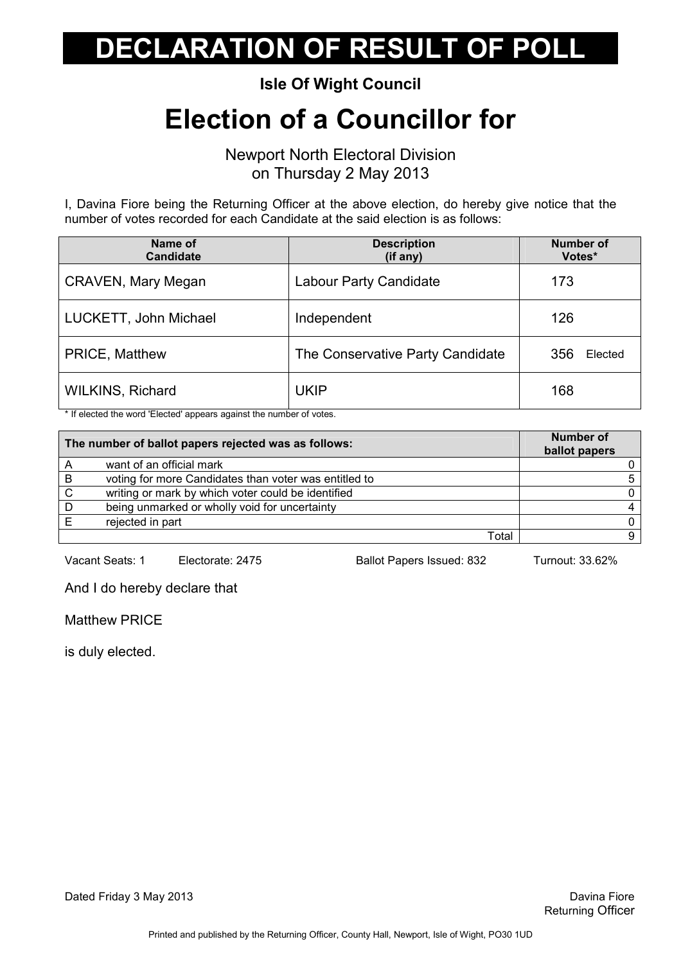Isle Of Wight Council

### Election of a Councillor for

Newport North Electoral Division on Thursday 2 May 2013

I, Davina Fiore being the Returning Officer at the above election, do hereby give notice that the number of votes recorded for each Candidate at the said election is as follows:

| Name of<br><b>Candidate</b> | <b>Description</b><br>(if any)   | <b>Number of</b><br>Votes* |
|-----------------------------|----------------------------------|----------------------------|
| <b>CRAVEN, Mary Megan</b>   | <b>Labour Party Candidate</b>    | 173                        |
| LUCKETT, John Michael       | Independent                      | 126                        |
| PRICE, Matthew              | The Conservative Party Candidate | 356<br>Elected             |
| <b>WILKINS, Richard</b>     | <b>UKIP</b>                      | 168                        |

\* If elected the word 'Elected' appears against the number of votes.

| The number of ballot papers rejected was as follows: |                                                       | <b>Number of</b><br>ballot papers |
|------------------------------------------------------|-------------------------------------------------------|-----------------------------------|
|                                                      | want of an official mark                              |                                   |
| B                                                    | voting for more Candidates than voter was entitled to |                                   |
| $\mathsf{C}$                                         | writing or mark by which voter could be identified    |                                   |
| D                                                    | being unmarked or wholly void for uncertainty         |                                   |
|                                                      | rejected in part                                      |                                   |
|                                                      | Total                                                 |                                   |

Vacant Seats: 1 Electorate: 2475 Ballot Papers Issued: 832 Turnout: 33.62%

And I do hereby declare that

Matthew PRICE

is duly elected.

Dated Friday 3 May 2013 **David Community Community** David Prior Bavina Fiore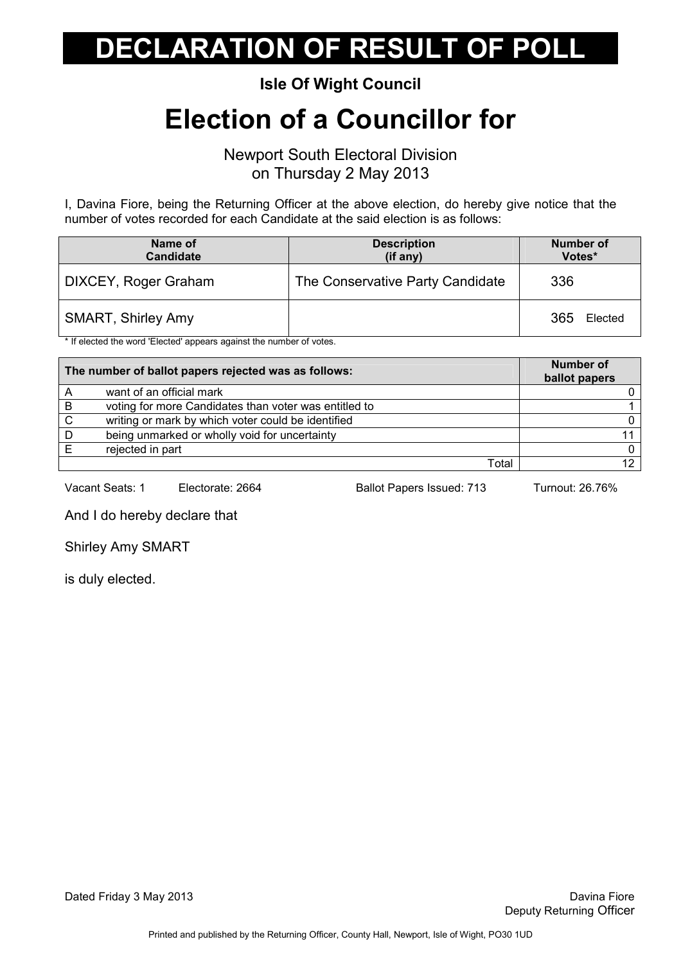Isle Of Wight Council

### Election of a Councillor for

Newport South Electoral Division on Thursday 2 May 2013

I, Davina Fiore, being the Returning Officer at the above election, do hereby give notice that the number of votes recorded for each Candidate at the said election is as follows:

| Name of<br><b>Candidate</b> | <b>Description</b><br>(if any)   | Number of<br>Votes* |
|-----------------------------|----------------------------------|---------------------|
| DIXCEY, Roger Graham        | The Conservative Party Candidate | 336                 |
| <b>SMART, Shirley Amy</b>   |                                  | 365<br>Elected      |

\* If elected the word 'Elected' appears against the number of votes.

| The number of ballot papers rejected was as follows: |                                                       | <b>Number of</b><br>ballot papers |
|------------------------------------------------------|-------------------------------------------------------|-----------------------------------|
|                                                      | want of an official mark                              |                                   |
| -B                                                   | voting for more Candidates than voter was entitled to |                                   |
| C.                                                   | writing or mark by which voter could be identified    |                                   |
| D                                                    | being unmarked or wholly void for uncertainty         |                                   |
|                                                      | rejected in part                                      | 0.                                |
|                                                      | Total                                                 | 0.                                |

Vacant Seats: 1 Electorate: 2664 Ballot Papers Issued: 713 Turnout: 26.76%

And I do hereby declare that

Shirley Amy SMART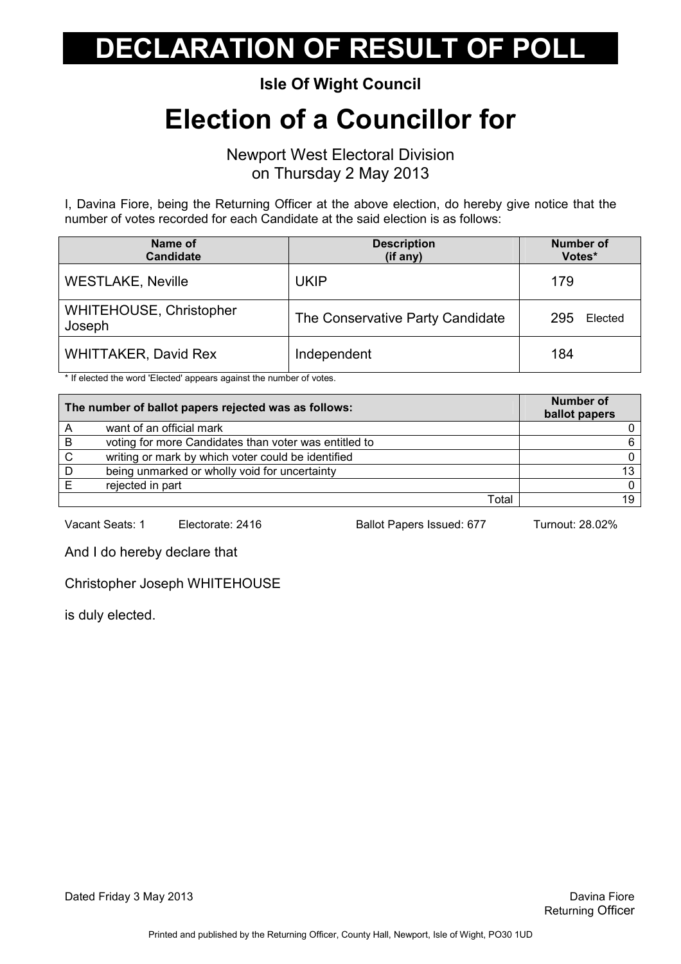Isle Of Wight Council

#### Election of a Councillor for

Newport West Electoral Division on Thursday 2 May 2013

I, Davina Fiore, being the Returning Officer at the above election, do hereby give notice that the number of votes recorded for each Candidate at the said election is as follows:

| Name of<br><b>Candidate</b>              | <b>Description</b><br>(if any)   | <b>Number of</b><br>Votes* |
|------------------------------------------|----------------------------------|----------------------------|
| <b>WESTLAKE, Neville</b>                 | <b>UKIP</b>                      | 179                        |
| <b>WHITEHOUSE, Christopher</b><br>Joseph | The Conservative Party Candidate | 295<br>Elected             |
| <b>WHITTAKER, David Rex</b>              | Independent                      | 184                        |

\* If elected the word 'Elected' appears against the number of votes.

| The number of ballot papers rejected was as follows: |                                                       | <b>Number of</b><br>ballot papers |
|------------------------------------------------------|-------------------------------------------------------|-----------------------------------|
| A                                                    | want of an official mark                              |                                   |
| B                                                    | voting for more Candidates than voter was entitled to |                                   |
| C.                                                   | writing or mark by which voter could be identified    |                                   |
| D                                                    | being unmarked or wholly void for uncertainty         | $13 -$                            |
|                                                      | rejected in part                                      |                                   |
|                                                      | Total                                                 | 19 <sub>1</sub>                   |

Vacant Seats: 1 Electorate: 2416 Ballot Papers Issued: 677 Turnout: 28.02%

And I do hereby declare that

Christopher Joseph WHITEHOUSE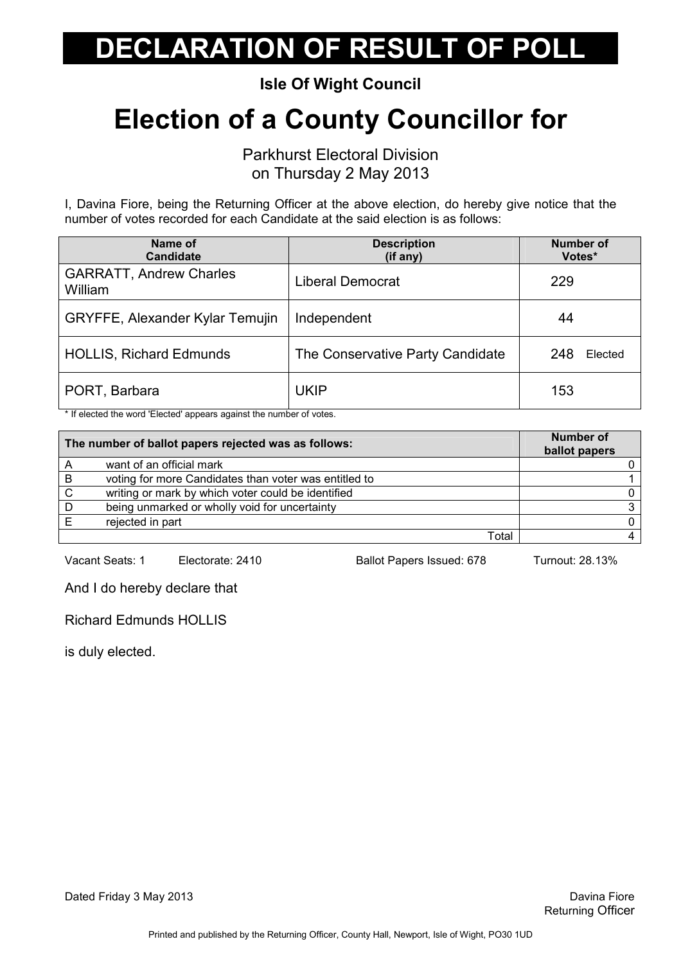Isle Of Wight Council

## Election of a County Councillor for

Parkhurst Electoral Division

on Thursday 2 May 2013

I, Davina Fiore, being the Returning Officer at the above election, do hereby give notice that the number of votes recorded for each Candidate at the said election is as follows:

| Name of<br><b>Candidate</b>               | <b>Description</b><br>(if any)   | <b>Number of</b><br>Votes* |
|-------------------------------------------|----------------------------------|----------------------------|
| <b>GARRATT, Andrew Charles</b><br>William | Liberal Democrat                 | 229                        |
| <b>GRYFFE, Alexander Kylar Temujin</b>    | Independent                      | 44                         |
| <b>HOLLIS, Richard Edmunds</b>            | The Conservative Party Candidate | 248<br>Elected             |
| PORT, Barbara                             | <b>UKIP</b>                      | 153                        |

\* If elected the word 'Elected' appears against the number of votes.

| The number of ballot papers rejected was as follows: |                                                       | Number of<br>ballot papers |
|------------------------------------------------------|-------------------------------------------------------|----------------------------|
| Α                                                    | want of an official mark                              |                            |
| B                                                    | voting for more Candidates than voter was entitled to |                            |
| $\mathsf{C}$                                         | writing or mark by which voter could be identified    |                            |
| D                                                    | being unmarked or wholly void for uncertainty         |                            |
|                                                      | rejected in part                                      |                            |
|                                                      | Total                                                 |                            |

Vacant Seats: 1 Electorate: 2410 Ballot Papers Issued: 678 Turnout: 28.13%

And I do hereby declare that

Richard Edmunds HOLLIS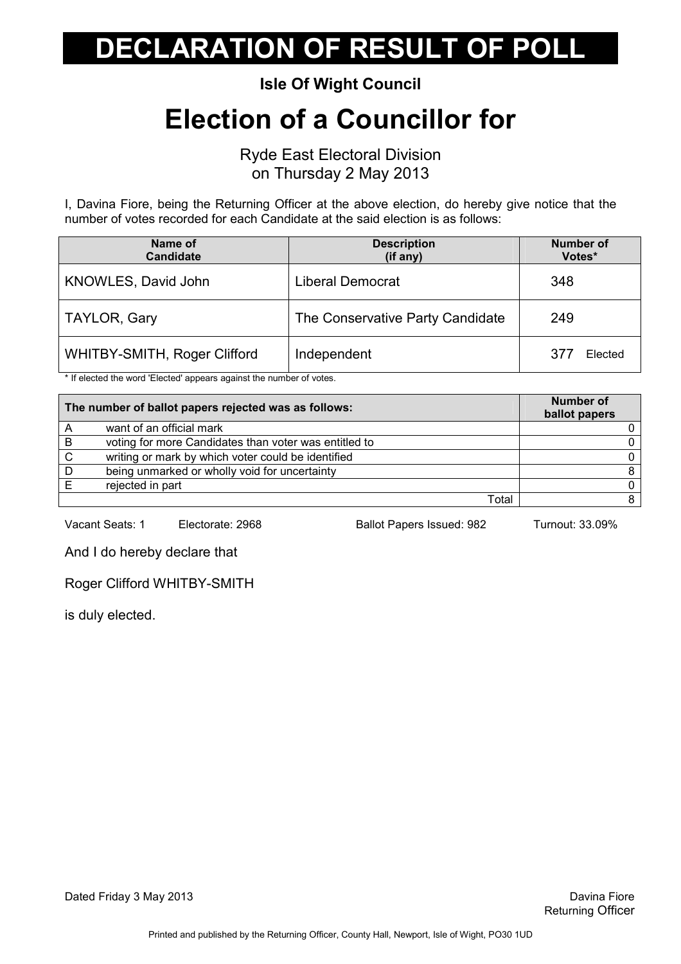Isle Of Wight Council

### Election of a Councillor for

Ryde East Electoral Division on Thursday 2 May 2013

I, Davina Fiore, being the Returning Officer at the above election, do hereby give notice that the number of votes recorded for each Candidate at the said election is as follows:

| Name of<br><b>Candidate</b>         | <b>Description</b><br>(if any)   | <b>Number of</b><br>Votes* |
|-------------------------------------|----------------------------------|----------------------------|
| KNOWLES, David John                 | <b>Liberal Democrat</b>          | 348                        |
| <b>TAYLOR, Gary</b>                 | The Conservative Party Candidate | 249                        |
| <b>WHITBY-SMITH, Roger Clifford</b> | Independent                      | Elected<br>377             |

\* If elected the word 'Elected' appears against the number of votes.

| The number of ballot papers rejected was as follows: |                                                       | <b>Number of</b><br>ballot papers |
|------------------------------------------------------|-------------------------------------------------------|-----------------------------------|
| A                                                    | want of an official mark                              |                                   |
| B                                                    | voting for more Candidates than voter was entitled to |                                   |
| C                                                    | writing or mark by which voter could be identified    |                                   |
| D                                                    | being unmarked or wholly void for uncertainty         |                                   |
|                                                      | rejected in part                                      |                                   |
|                                                      | Total                                                 |                                   |

Vacant Seats: 1 Electorate: 2968 Ballot Papers Issued: 982 Turnout: 33.09%

And I do hereby declare that

Roger Clifford WHITBY-SMITH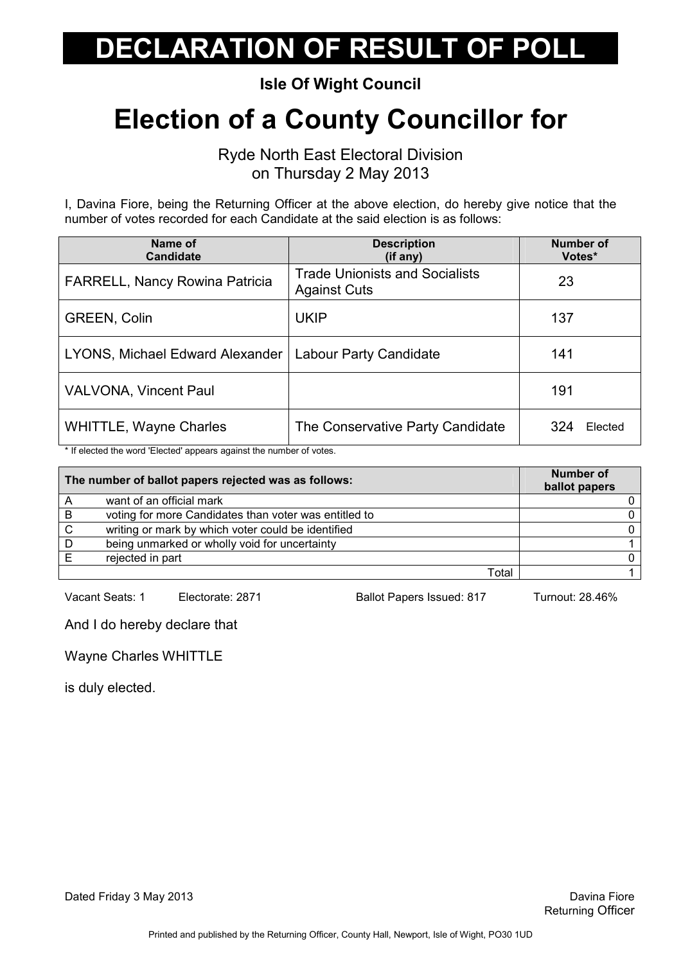Isle Of Wight Council

## Election of a County Councillor for

Ryde North East Electoral Division on Thursday 2 May 2013

I, Davina Fiore, being the Returning Officer at the above election, do hereby give notice that the number of votes recorded for each Candidate at the said election is as follows:

| Name of<br><b>Candidate</b>           | <b>Description</b><br>(i f any)                              | <b>Number of</b><br>Votes* |
|---------------------------------------|--------------------------------------------------------------|----------------------------|
| <b>FARRELL, Nancy Rowina Patricia</b> | <b>Trade Unionists and Socialists</b><br><b>Against Cuts</b> | 23                         |
| <b>GREEN, Colin</b>                   | <b>UKIP</b>                                                  | 137                        |
| LYONS, Michael Edward Alexander       | Labour Party Candidate                                       | 141                        |
| <b>VALVONA, Vincent Paul</b>          |                                                              | 191                        |
| <b>WHITTLE, Wayne Charles</b>         | The Conservative Party Candidate                             | 324<br>Elected             |

\* If elected the word 'Elected' appears against the number of votes.

| The number of ballot papers rejected was as follows: |                                                       | Number of<br>ballot papers |
|------------------------------------------------------|-------------------------------------------------------|----------------------------|
|                                                      | want of an official mark                              |                            |
| B                                                    | voting for more Candidates than voter was entitled to |                            |
| <sub>C</sub>                                         | writing or mark by which voter could be identified    |                            |
| D                                                    | being unmarked or wholly void for uncertainty         |                            |
|                                                      | rejected in part                                      |                            |
|                                                      | Total                                                 |                            |

Vacant Seats: 1 Electorate: 2871 Ballot Papers Issued: 817 Turnout: 28.46%

And I do hereby declare that

Wayne Charles WHITTLE

is duly elected.

Dated Friday 3 May 2013 **David Struck Contract Contract Contract Contract Contract Contract Contract Contract Contract Contract Contract Contract Contract Contract Contract Contract Contract Contract Contract Contract Cont**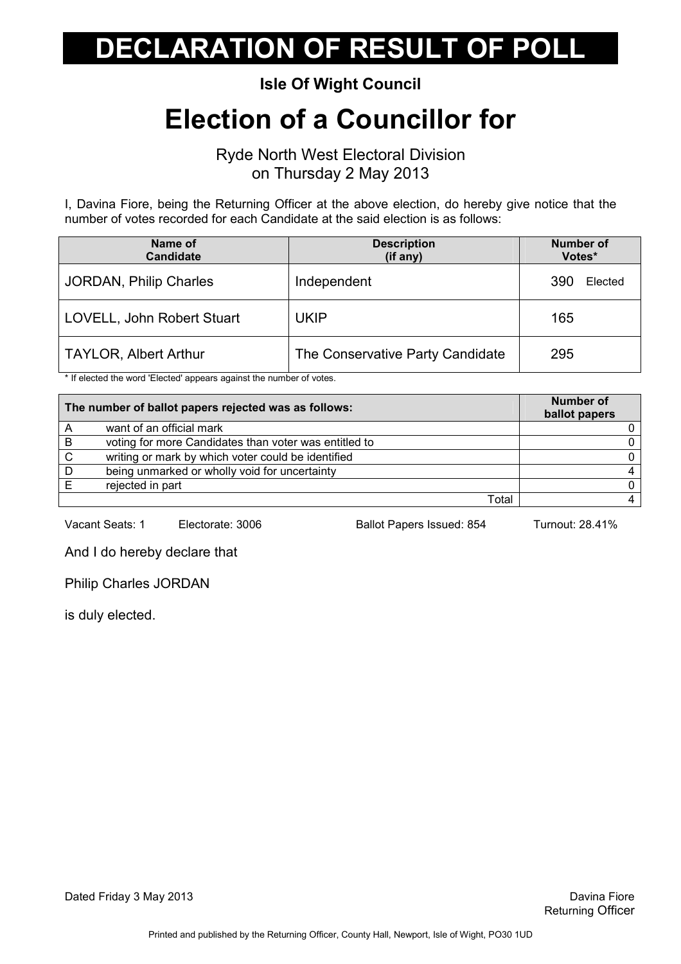Isle Of Wight Council

#### Election of a Councillor for

Ryde North West Electoral Division on Thursday 2 May 2013

I, Davina Fiore, being the Returning Officer at the above election, do hereby give notice that the number of votes recorded for each Candidate at the said election is as follows:

| Name of<br><b>Candidate</b>   | <b>Description</b><br>(if any)   | <b>Number of</b><br>Votes* |
|-------------------------------|----------------------------------|----------------------------|
| <b>JORDAN, Philip Charles</b> | Independent                      | 390<br>Elected             |
| LOVELL, John Robert Stuart    | <b>UKIP</b>                      | 165                        |
| <b>TAYLOR, Albert Arthur</b>  | The Conservative Party Candidate | 295                        |

\* If elected the word 'Elected' appears against the number of votes.

|   | The number of ballot papers rejected was as follows:  | <b>Number of</b><br>ballot papers |
|---|-------------------------------------------------------|-----------------------------------|
|   | want of an official mark                              |                                   |
| B | voting for more Candidates than voter was entitled to |                                   |
| C | writing or mark by which voter could be identified    |                                   |
| D | being unmarked or wholly void for uncertainty         |                                   |
|   | rejected in part                                      |                                   |
|   | Total                                                 |                                   |

Vacant Seats: 1 Electorate: 3006 Ballot Papers Issued: 854 Turnout: 28.41%

And I do hereby declare that

Philip Charles JORDAN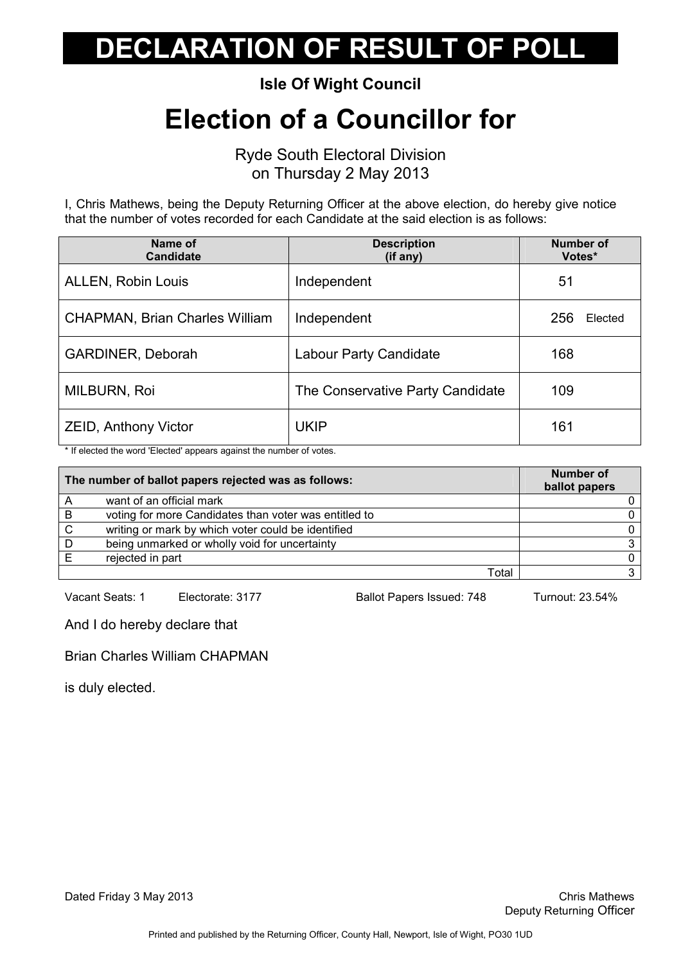Isle Of Wight Council

### Election of a Councillor for

Ryde South Electoral Division on Thursday 2 May 2013

I, Chris Mathews, being the Deputy Returning Officer at the above election, do hereby give notice that the number of votes recorded for each Candidate at the said election is as follows:

| Name of<br><b>Candidate</b>           | <b>Description</b><br>(if any)   | <b>Number of</b><br>Votes* |
|---------------------------------------|----------------------------------|----------------------------|
| <b>ALLEN, Robin Louis</b>             | Independent                      | 51                         |
| <b>CHAPMAN, Brian Charles William</b> | Independent                      | 256<br>Elected             |
| GARDINER, Deborah                     | <b>Labour Party Candidate</b>    | 168                        |
| MILBURN, Roi                          | The Conservative Party Candidate | 109                        |
| <b>ZEID, Anthony Victor</b>           | <b>UKIP</b>                      | 161                        |

\* If elected the word 'Elected' appears against the number of votes.

| The number of ballot papers rejected was as follows: |                                                       | Number of<br>ballot papers |
|------------------------------------------------------|-------------------------------------------------------|----------------------------|
| A                                                    | want of an official mark                              |                            |
| B                                                    | voting for more Candidates than voter was entitled to |                            |
| C                                                    | writing or mark by which voter could be identified    |                            |
| D                                                    | being unmarked or wholly void for uncertainty         |                            |
|                                                      | rejected in part                                      |                            |
|                                                      | Total                                                 |                            |

Vacant Seats: 1 Electorate: 3177 Ballot Papers Issued: 748 Turnout: 23.54%

And I do hereby declare that

Brian Charles William CHAPMAN

is duly elected.

Dated Friday 3 May 2013 **Dated Friday 3 May 2013**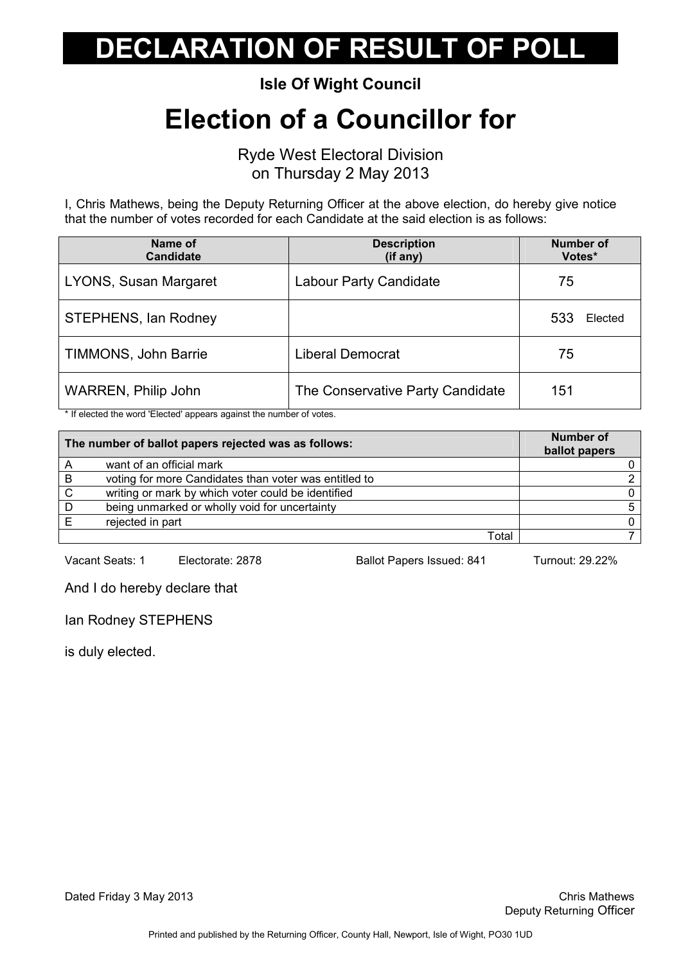Isle Of Wight Council

### Election of a Councillor for

Ryde West Electoral Division on Thursday 2 May 2013

I, Chris Mathews, being the Deputy Returning Officer at the above election, do hereby give notice that the number of votes recorded for each Candidate at the said election is as follows:

| Name of<br><b>Candidate</b> | <b>Description</b><br>$(if$ any) | <b>Number of</b><br>Votes* |         |
|-----------------------------|----------------------------------|----------------------------|---------|
| LYONS, Susan Margaret       | Labour Party Candidate           | 75                         |         |
| <b>STEPHENS, Ian Rodney</b> |                                  | 533                        | Elected |
| TIMMONS, John Barrie        | <b>Liberal Democrat</b>          | 75                         |         |
| <b>WARREN, Philip John</b>  | The Conservative Party Candidate | 151                        |         |

\* If elected the word 'Elected' appears against the number of votes.

|   | The number of ballot papers rejected was as follows:  | <b>Number of</b><br>ballot papers |
|---|-------------------------------------------------------|-----------------------------------|
|   | want of an official mark                              |                                   |
| B | voting for more Candidates than voter was entitled to |                                   |
| C | writing or mark by which voter could be identified    |                                   |
| D | being unmarked or wholly void for uncertainty         |                                   |
|   | rejected in part                                      |                                   |
|   | Total                                                 |                                   |

Vacant Seats: 1 Electorate: 2878 Ballot Papers Issued: 841 Turnout: 29.22%

And I do hereby declare that

Ian Rodney STEPHENS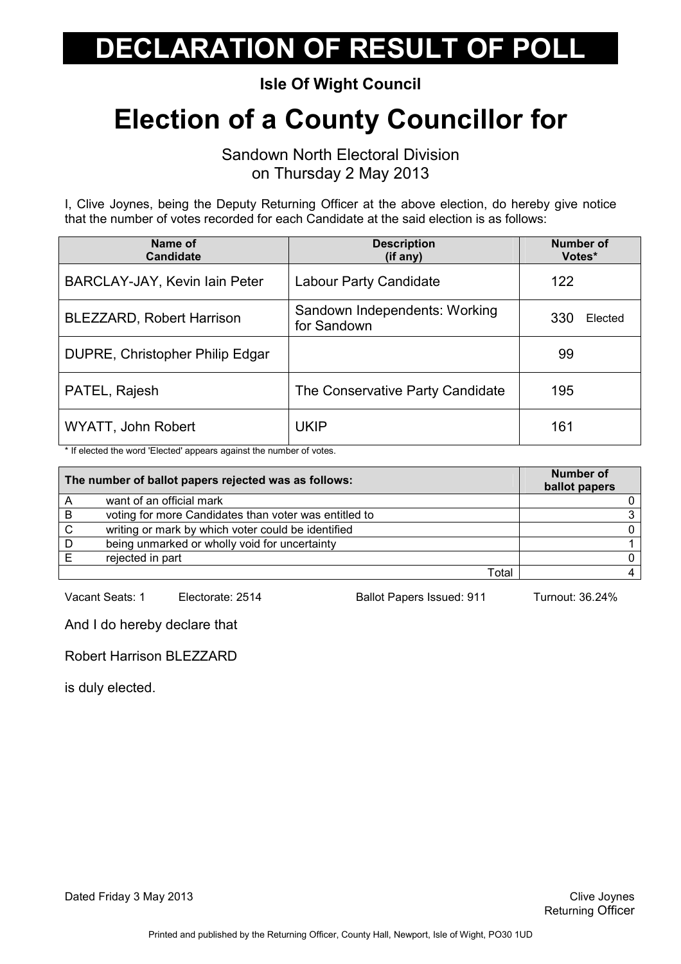Isle Of Wight Council

## Election of a County Councillor for

Sandown North Electoral Division on Thursday 2 May 2013

I, Clive Joynes, being the Deputy Returning Officer at the above election, do hereby give notice that the number of votes recorded for each Candidate at the said election is as follows:

| Name of<br><b>Candidate</b>     | <b>Description</b><br>(if any)               | <b>Number of</b><br>Votes* |
|---------------------------------|----------------------------------------------|----------------------------|
| BARCLAY-JAY, Kevin Iain Peter   | Labour Party Candidate                       | 122                        |
| BLEZZARD, Robert Harrison       | Sandown Independents: Working<br>for Sandown | 330<br>Elected             |
| DUPRE, Christopher Philip Edgar |                                              | 99                         |
| PATEL, Rajesh                   | The Conservative Party Candidate             | 195                        |
| WYATT, John Robert              | <b>UKIP</b>                                  | 161                        |

\* If elected the word 'Elected' appears against the number of votes.

| The number of ballot papers rejected was as follows: |                                                       | Number of<br>ballot papers |
|------------------------------------------------------|-------------------------------------------------------|----------------------------|
| А                                                    | want of an official mark                              |                            |
| B                                                    | voting for more Candidates than voter was entitled to |                            |
| C                                                    | writing or mark by which voter could be identified    |                            |
| D                                                    | being unmarked or wholly void for uncertainty         |                            |
|                                                      | rejected in part                                      |                            |
|                                                      | Total                                                 |                            |

Vacant Seats: 1 Electorate: 2514 Ballot Papers Issued: 911 Turnout: 36.24%

And I do hereby declare that

Robert Harrison BLEZZARD

is duly elected.

Dated Friday 3 May 2013 **Clive Joynes** Clive Joynes **Clive Joynes** Clive Joynes **Clive Joynes**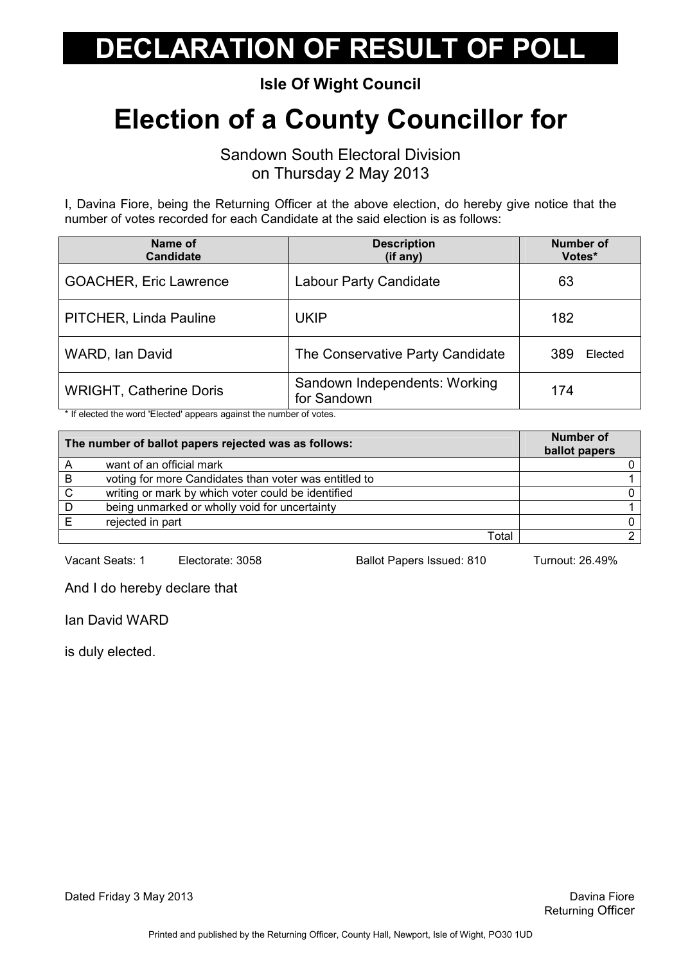Isle Of Wight Council

## Election of a County Councillor for

Sandown South Electoral Division on Thursday 2 May 2013

I, Davina Fiore, being the Returning Officer at the above election, do hereby give notice that the number of votes recorded for each Candidate at the said election is as follows:

| Name of<br><b>Candidate</b>    | <b>Description</b><br>(if any)               | <b>Number of</b><br>Votes* |
|--------------------------------|----------------------------------------------|----------------------------|
| <b>GOACHER, Eric Lawrence</b>  | <b>Labour Party Candidate</b>                | 63                         |
| PITCHER, Linda Pauline         | <b>UKIP</b>                                  | 182                        |
| WARD, Ian David                | The Conservative Party Candidate             | 389<br>Elected             |
| <b>WRIGHT, Catherine Doris</b> | Sandown Independents: Working<br>for Sandown | 174                        |

\* If elected the word 'Elected' appears against the number of votes.

|   | The number of ballot papers rejected was as follows:  | <b>Number of</b><br>ballot papers |
|---|-------------------------------------------------------|-----------------------------------|
|   | want of an official mark                              |                                   |
| B | voting for more Candidates than voter was entitled to |                                   |
| C | writing or mark by which voter could be identified    |                                   |
| D | being unmarked or wholly void for uncertainty         |                                   |
|   | rejected in part                                      |                                   |
|   | Total                                                 |                                   |

Vacant Seats: 1 Electorate: 3058 Ballot Papers Issued: 810 Turnout: 26.49%

And I do hereby declare that

Ian David WARD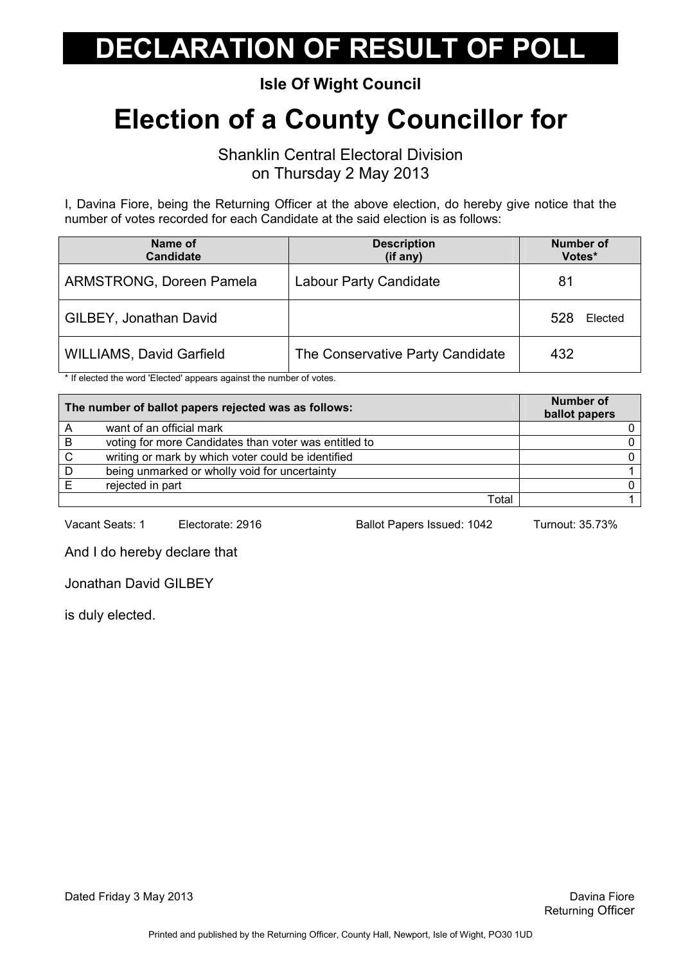Isle Of Wight Council

## Election of a County Councillor for

Shanklin Central Electoral Division on Thursday 2 May 2013

I, Davina Fiore, being the Returning Officer at the above election, do hereby give notice that the number of votes recorded for each Candidate at the said election is as follows:

| Name of<br><b>Candidate</b>     | <b>Description</b><br>(if any)   | <b>Number of</b><br>Votes* |
|---------------------------------|----------------------------------|----------------------------|
| <b>ARMSTRONG, Doreen Pamela</b> | <b>Labour Party Candidate</b>    | 81                         |
| GILBEY, Jonathan David          |                                  | 528<br>Elected             |
| <b>WILLIAMS, David Garfield</b> | The Conservative Party Candidate | 432                        |

\* If elected the word 'Elected' appears against the number of votes.

|    | The number of ballot papers rejected was as follows:  | <b>Number of</b><br>ballot papers |
|----|-------------------------------------------------------|-----------------------------------|
|    | want of an official mark                              |                                   |
| B  | voting for more Candidates than voter was entitled to |                                   |
| C. | writing or mark by which voter could be identified    |                                   |
| D  | being unmarked or wholly void for uncertainty         |                                   |
|    | rejected in part                                      |                                   |
|    | Total                                                 |                                   |

Vacant Seats: 1 Electorate: 2916 Ballot Papers Issued: 1042 Turnout: 35.73%

And I do hereby declare that

Jonathan David GILBEY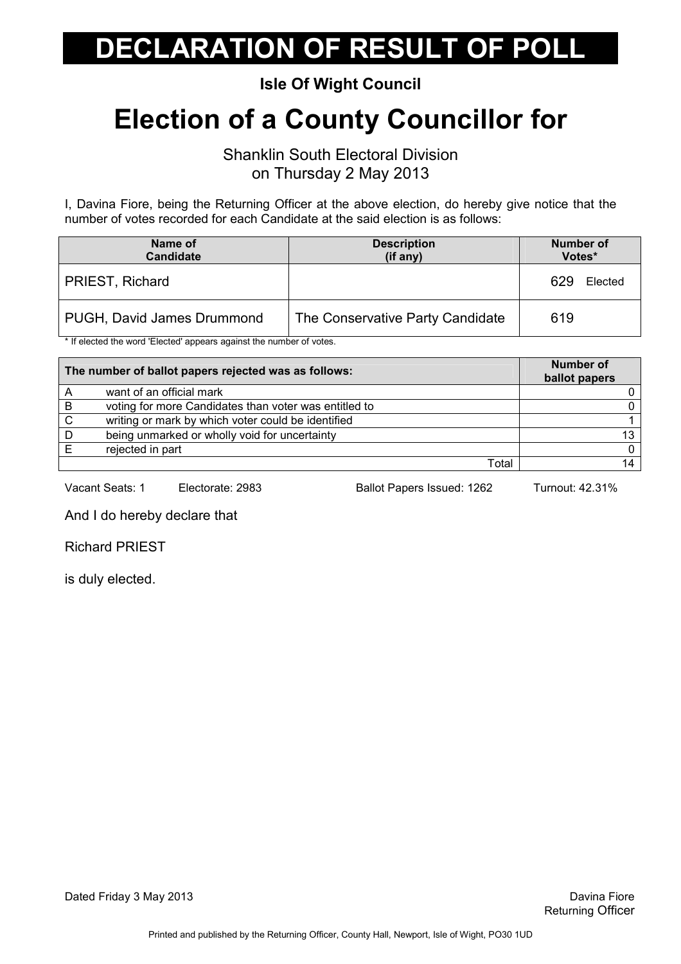Isle Of Wight Council

## Election of a County Councillor for

Shanklin South Electoral Division on Thursday 2 May 2013

I, Davina Fiore, being the Returning Officer at the above election, do hereby give notice that the number of votes recorded for each Candidate at the said election is as follows:

| Name of<br><b>Candidate</b> | <b>Description</b><br>(if any)   | <b>Number of</b><br>Votes* |
|-----------------------------|----------------------------------|----------------------------|
| PRIEST, Richard             |                                  | 629<br>Elected             |
| PUGH, David James Drummond  | The Conservative Party Candidate | 619                        |

\* If elected the word 'Elected' appears against the number of votes.

| The number of ballot papers rejected was as follows: |                                                       | <b>Number of</b><br>ballot papers |
|------------------------------------------------------|-------------------------------------------------------|-----------------------------------|
|                                                      | want of an official mark                              |                                   |
| B                                                    | voting for more Candidates than voter was entitled to |                                   |
| C.                                                   | writing or mark by which voter could be identified    |                                   |
| D                                                    | being unmarked or wholly void for uncertainty         | 13                                |
|                                                      | rejected in part                                      | 0                                 |
|                                                      | Total                                                 |                                   |

Vacant Seats: 1 Electorate: 2983 Ballot Papers Issued: 1262 Turnout: 42.31%

And I do hereby declare that

Richard PRIEST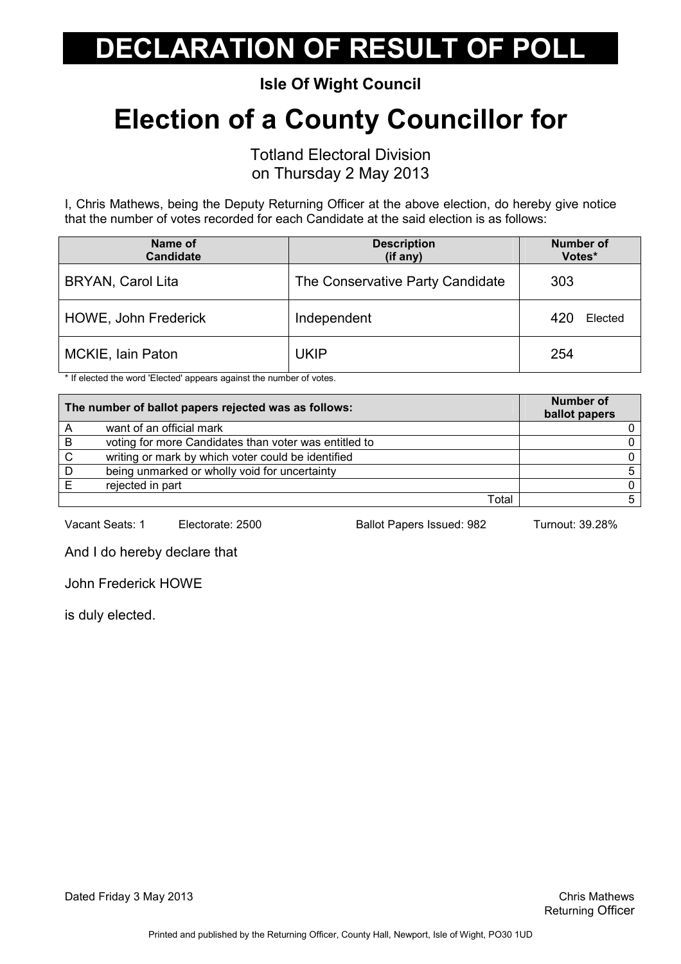Isle Of Wight Council

## Election of a County Councillor for

Totland Electoral Division

on Thursday 2 May 2013

I, Chris Mathews, being the Deputy Returning Officer at the above election, do hereby give notice that the number of votes recorded for each Candidate at the said election is as follows:

| Name of<br><b>Candidate</b> | <b>Description</b><br>(if any)   | <b>Number of</b><br>Votes* |
|-----------------------------|----------------------------------|----------------------------|
| <b>BRYAN, Carol Lita</b>    | The Conservative Party Candidate | 303                        |
| HOWE, John Frederick        | Independent                      | 420<br>Elected             |
| MCKIE, Iain Paton           | <b>UKIP</b>                      | 254                        |

\* If elected the word 'Elected' appears against the number of votes.

| The number of ballot papers rejected was as follows: |                                                       | <b>Number of</b><br>ballot papers |
|------------------------------------------------------|-------------------------------------------------------|-----------------------------------|
|                                                      | want of an official mark                              |                                   |
| B                                                    | voting for more Candidates than voter was entitled to |                                   |
| C.                                                   | writing or mark by which voter could be identified    |                                   |
| D                                                    | being unmarked or wholly void for uncertainty         |                                   |
|                                                      | rejected in part                                      |                                   |
|                                                      | Total                                                 |                                   |

Vacant Seats: 1 Electorate: 2500 Ballot Papers Issued: 982 Turnout: 39.28%

And I do hereby declare that

John Frederick HOWE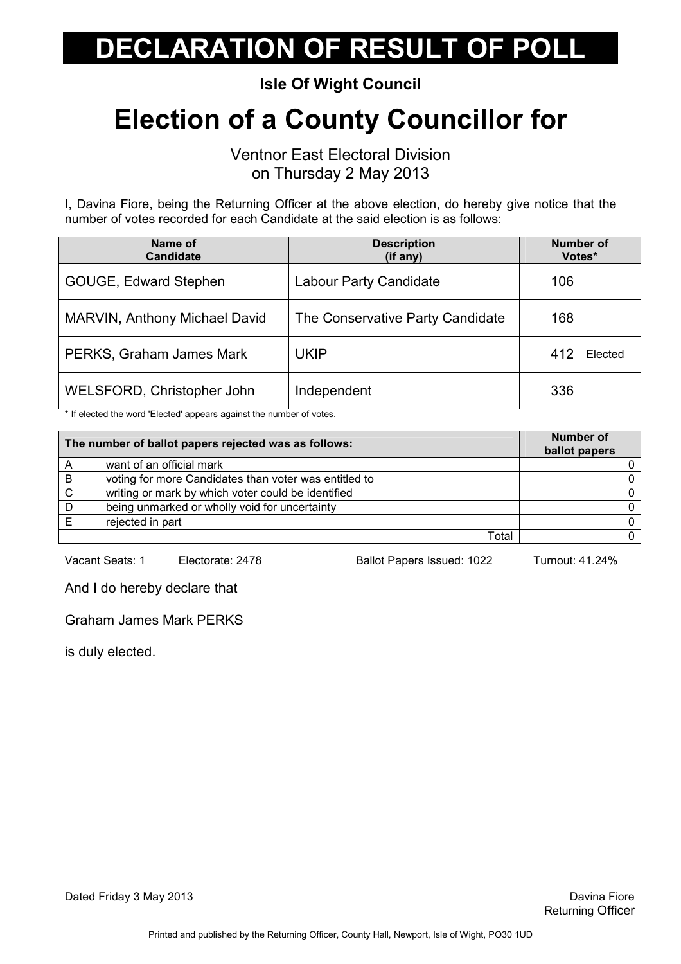Isle Of Wight Council

## Election of a County Councillor for

Ventnor East Electoral Division on Thursday 2 May 2013

I, Davina Fiore, being the Returning Officer at the above election, do hereby give notice that the number of votes recorded for each Candidate at the said election is as follows:

| Name of<br><b>Candidate</b>   | <b>Description</b><br>(if any)   | <b>Number of</b><br>Votes* |
|-------------------------------|----------------------------------|----------------------------|
| GOUGE, Edward Stephen         | <b>Labour Party Candidate</b>    | 106                        |
| MARVIN, Anthony Michael David | The Conservative Party Candidate | 168                        |
| PERKS, Graham James Mark      | <b>UKIP</b>                      | 412<br>Elected             |
| WELSFORD, Christopher John    | Independent                      | 336                        |

\* If elected the word 'Elected' appears against the number of votes.

|              | The number of ballot papers rejected was as follows:  | Number of<br>ballot papers |
|--------------|-------------------------------------------------------|----------------------------|
|              | want of an official mark                              |                            |
| B            | voting for more Candidates than voter was entitled to |                            |
| $\mathsf{C}$ | writing or mark by which voter could be identified    |                            |
| D            | being unmarked or wholly void for uncertainty         |                            |
|              | rejected in part                                      |                            |
|              | Total                                                 |                            |

Vacant Seats: 1 Electorate: 2478 Ballot Papers Issued: 1022 Turnout: 41.24%

And I do hereby declare that

Graham James Mark PERKS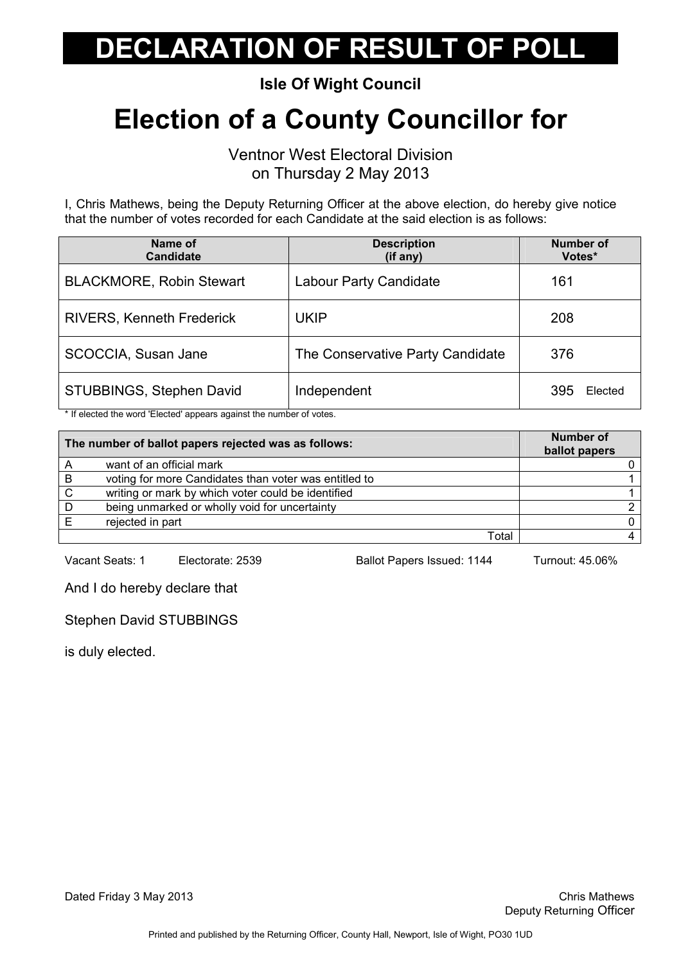Isle Of Wight Council

## Election of a County Councillor for

Ventnor West Electoral Division on Thursday 2 May 2013

I, Chris Mathews, being the Deputy Returning Officer at the above election, do hereby give notice that the number of votes recorded for each Candidate at the said election is as follows:

| Name of<br><b>Candidate</b>      | <b>Description</b><br>(if any)   | <b>Number of</b><br>Votes* |
|----------------------------------|----------------------------------|----------------------------|
| <b>BLACKMORE, Robin Stewart</b>  | Labour Party Candidate           | 161                        |
| <b>RIVERS, Kenneth Frederick</b> | <b>UKIP</b>                      | 208                        |
| SCOCCIA, Susan Jane              | The Conservative Party Candidate | 376                        |
| STUBBINGS, Stephen David         | Independent                      | 395<br>Elected             |

\* If elected the word 'Elected' appears against the number of votes.

|   | The number of ballot papers rejected was as follows:  | <b>Number of</b><br>ballot papers |
|---|-------------------------------------------------------|-----------------------------------|
|   | want of an official mark                              |                                   |
| B | voting for more Candidates than voter was entitled to |                                   |
| C | writing or mark by which voter could be identified    |                                   |
| D | being unmarked or wholly void for uncertainty         |                                   |
|   | rejected in part                                      |                                   |
|   | Total                                                 |                                   |

Vacant Seats: 1 Electorate: 2539 Ballot Papers Issued: 1144 Turnout: 45.06%

And I do hereby declare that

Stephen David STUBBINGS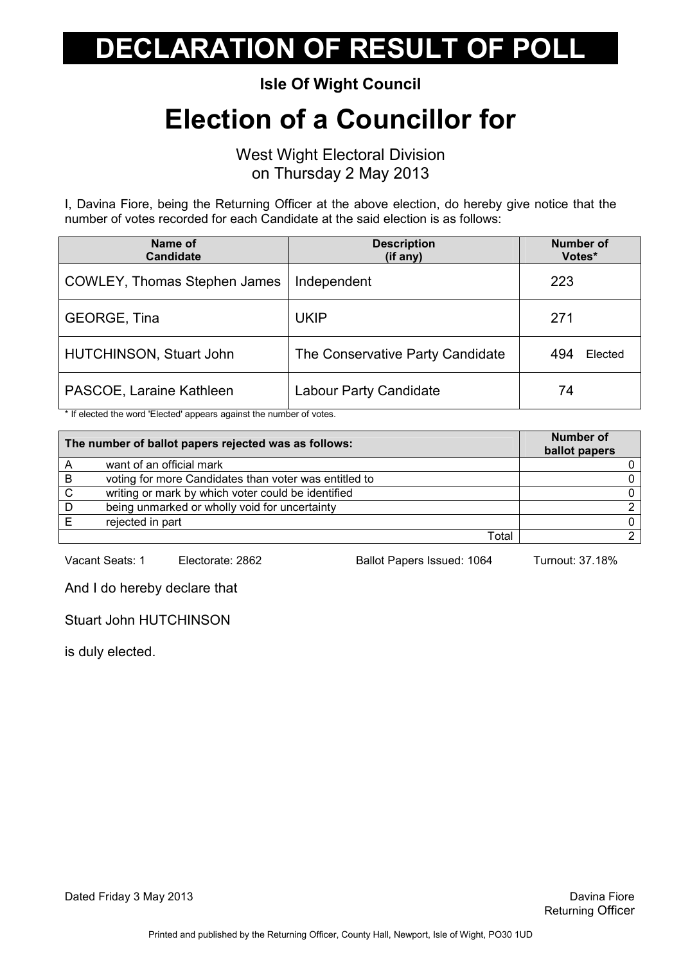Isle Of Wight Council

#### Election of a Councillor for

West Wight Electoral Division on Thursday 2 May 2013

I, Davina Fiore, being the Returning Officer at the above election, do hereby give notice that the number of votes recorded for each Candidate at the said election is as follows:

| Name of<br><b>Candidate</b>  | <b>Description</b><br>(if any)   | <b>Number of</b><br>Votes* |
|------------------------------|----------------------------------|----------------------------|
| COWLEY, Thomas Stephen James | Independent                      | 223                        |
| <b>GEORGE, Tina</b>          | <b>UKIP</b>                      | 271                        |
| HUTCHINSON, Stuart John      | The Conservative Party Candidate | Elected<br>494             |
| PASCOE, Laraine Kathleen     | Labour Party Candidate           | 74                         |

\* If elected the word 'Elected' appears against the number of votes.

|   | The number of ballot papers rejected was as follows:  | <b>Number of</b><br>ballot papers |
|---|-------------------------------------------------------|-----------------------------------|
|   | want of an official mark                              |                                   |
| B | voting for more Candidates than voter was entitled to |                                   |
| C | writing or mark by which voter could be identified    |                                   |
| D | being unmarked or wholly void for uncertainty         |                                   |
|   | rejected in part                                      |                                   |
|   | Total                                                 |                                   |

Vacant Seats: 1 Electorate: 2862 Ballot Papers Issued: 1064 Turnout: 37.18%

And I do hereby declare that

Stuart John HUTCHINSON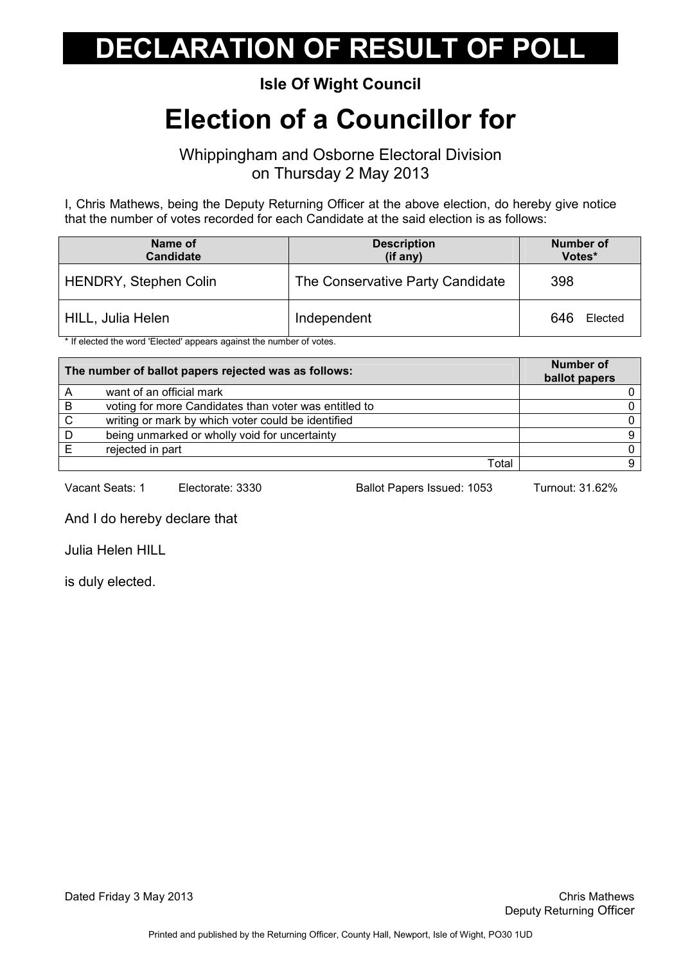#### Isle Of Wight Council

### Election of a Councillor for

Whippingham and Osborne Electoral Division on Thursday 2 May 2013

I, Chris Mathews, being the Deputy Returning Officer at the above election, do hereby give notice that the number of votes recorded for each Candidate at the said election is as follows:

| Name of<br><b>Candidate</b>  | <b>Description</b><br>(if any)   | Number of<br>Votes* |
|------------------------------|----------------------------------|---------------------|
| <b>HENDRY, Stephen Colin</b> | The Conservative Party Candidate | 398                 |
| HILL, Julia Helen            | Independent                      | 646<br>Elected      |

\* If elected the word 'Elected' appears against the number of votes.

| The number of ballot papers rejected was as follows: |                                                       | <b>Number of</b><br>ballot papers |
|------------------------------------------------------|-------------------------------------------------------|-----------------------------------|
|                                                      | want of an official mark                              |                                   |
| B                                                    | voting for more Candidates than voter was entitled to |                                   |
| C.                                                   | writing or mark by which voter could be identified    |                                   |
| D                                                    | being unmarked or wholly void for uncertainty         |                                   |
|                                                      | rejected in part                                      |                                   |
|                                                      | Total                                                 |                                   |

Vacant Seats: 1 Electorate: 3330 Ballot Papers Issued: 1053 Turnout: 31.62%

And I do hereby declare that

Julia Helen HILL